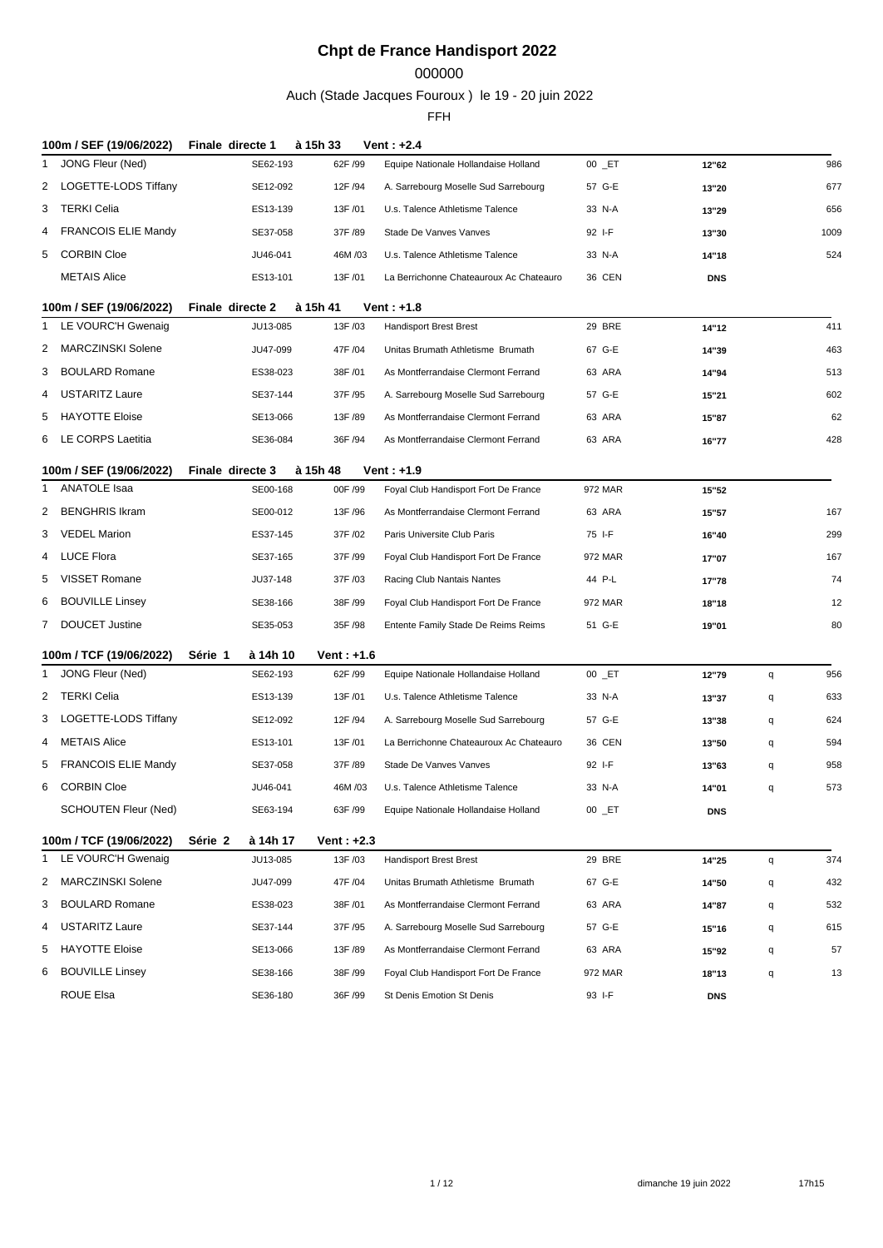## 

Auch (Stade Jacques Fouroux ) le 19 - 20 juin 2022

| 100m / SEF (19/06/2022)                               | Finale directe 1                | à 15h 33                | Vent : +2.4                             |            |            |   |      |
|-------------------------------------------------------|---------------------------------|-------------------------|-----------------------------------------|------------|------------|---|------|
| JONG Fleur (Ned)<br>1                                 | SE62-193                        | 62F /99                 | Equipe Nationale Hollandaise Holland    | $00$ $E$ T | 12"62      |   | 986  |
| 2 LOGETTE-LODS Tiffany                                | SE12-092                        | 12F /94                 | A. Sarrebourg Moselle Sud Sarrebourg    | 57 G-E     | 13"20      |   | 677  |
| 3 TERKI Celia                                         | ES13-139                        | 13F/01                  | U.s. Talence Athletisme Talence         | 33 N-A     | 13"29      |   | 656  |
| <b>FRANCOIS ELIE Mandy</b><br>4                       | SE37-058                        | 37F /89                 | Stade De Vanves Vanves                  | 92 I-F     | 13"30      |   | 1009 |
| <b>CORBIN Cloe</b><br>5                               | JU46-041                        | 46M/03                  | U.s. Talence Athletisme Talence         | 33 N-A     | 14"18      |   | 524  |
| <b>METAIS Alice</b>                                   | ES13-101                        | 13F /01                 | La Berrichonne Chateauroux Ac Chateauro | 36 CEN     | <b>DNS</b> |   |      |
| 100m / SEF (19/06/2022)                               | Finale directe 2                | à 15h 41                | Vent: $+1.8$                            |            |            |   |      |
| LE VOURC'H Gwenaig<br>1                               | JU13-085                        | 13F /03                 | <b>Handisport Brest Brest</b>           | 29 BRE     | 14"12      |   | 411  |
| 2 MARCZINSKI Solene                                   | JU47-099                        | 47F /04                 | Unitas Brumath Athletisme Brumath       | 67 G-E     | 14"39      |   | 463  |
| <b>BOULARD Romane</b><br>3                            | ES38-023                        | 38F /01                 | As Montferrandaise Clermont Ferrand     | 63 ARA     | 14"94      |   | 513  |
| <b>USTARITZ Laure</b><br>4                            | SE37-144                        | 37F /95                 | A. Sarrebourg Moselle Sud Sarrebourg    | 57 G-E     | 15"21      |   | 602  |
| <b>HAYOTTE Eloise</b><br>5                            | SE13-066                        | 13F /89                 | As Montferrandaise Clermont Ferrand     | 63 ARA     | 15"87      |   | 62   |
| LE CORPS Laetitia<br>6                                | SE36-084                        | 36F /94                 | As Montferrandaise Clermont Ferrand     | 63 ARA     | 16"77      |   | 428  |
| 100m / SEF (19/06/2022)                               | Finale directe 3                | à 15h 48                | $Vert: +1.9$                            |            |            |   |      |
| ANATOLE Isaa<br>1                                     | SE00-168                        | 00F /99                 | Foyal Club Handisport Fort De France    | 972 MAR    | 15"52      |   |      |
| <b>BENGHRIS Ikram</b><br>2                            | SE00-012                        | 13F /96                 | As Montferrandaise Clermont Ferrand     | 63 ARA     | 15"57      |   | 167  |
| <b>VEDEL Marion</b><br>3                              | ES37-145                        | 37F /02                 | Paris Universite Club Paris             | 75 I-F     | 16"40      |   | 299  |
| <b>LUCE Flora</b><br>4                                | SE37-165                        | 37F /99                 | Foyal Club Handisport Fort De France    | 972 MAR    | 17"07      |   | 167  |
| VISSET Romane<br>5                                    | JU37-148                        | 37F /03                 | Racing Club Nantais Nantes              | 44 P-L     | 17"78      |   | 74   |
| BOUVILLE Linsey<br>6                                  | SE38-166                        | 38F /99                 | Foyal Club Handisport Fort De France    | 972 MAR    | 18"18      |   | 12   |
| 7 DOUCET Justine                                      | SE35-053                        | 35F /98                 | Entente Family Stade De Reims Reims     | 51 G-E     | 19"01      |   | 80   |
|                                                       |                                 |                         |                                         |            |            |   |      |
| 100m / TCF (19/06/2022)<br>JONG Fleur (Ned)           | Série 1<br>à 14h 10<br>SE62-193 | Vent: $+1.6$<br>62F /99 | Equipe Nationale Hollandaise Holland    | $00$ $E$ T |            |   | 956  |
| 1<br>2 TERKI Celia                                    |                                 |                         | U.s. Talence Athletisme Talence         |            | 12"79      | q |      |
| LOGETTE-LODS Tiffany                                  | ES13-139                        | 13F /01                 |                                         | 33 N-A     | 13"37      | q | 633  |
| 3                                                     | SE12-092                        | 12F /94                 | A. Sarrebourg Moselle Sud Sarrebourg    | 57 G-E     | 13"38      | q | 624  |
| <b>METAIS Alice</b><br>4                              | ES13-101                        | 13F /01                 | La Berrichonne Chateauroux Ac Chateauro | 36 CEN     | 13"50      | q | 594  |
| <b>FRANCOIS ELIE Mandy</b><br>5<br><b>CORBIN Cloe</b> | SE37-058                        | 37F /89                 | Stade De Vanves Vanves                  | 92 I-F     | 13"63      | q | 958  |
| 6<br><b>SCHOUTEN Fleur (Ned)</b>                      | JU46-041                        | 46M/03                  | U.s. Talence Athletisme Talence         | 33 N-A     | 14"01      | q | 573  |
|                                                       | SE63-194                        | 63F /99                 | Equipe Nationale Hollandaise Holland    | $00$ $E$ T | <b>DNS</b> |   |      |
| 100m / TCF (19/06/2022)                               | Série 2<br>à 14h 17             | Vent: $+2.3$            |                                         |            |            |   |      |
| LE VOURC'H Gwenaig<br>1                               | JU13-085                        | 13F /03                 | <b>Handisport Brest Brest</b>           | 29 BRE     | 14"25      | q | 374  |
| 2 MARCZINSKI Solene                                   | JU47-099                        | 47F /04                 | Unitas Brumath Athletisme Brumath       | 67 G-E     | 14"50      | q | 432  |
| <b>BOULARD Romane</b><br>3                            | ES38-023                        | 38F /01                 | As Montferrandaise Clermont Ferrand     | 63 ARA     | 14"87      | q | 532  |
| <b>USTARITZ Laure</b><br>4                            | SE37-144                        | 37F /95                 | A. Sarrebourg Moselle Sud Sarrebourg    | 57 G-E     | 15"16      | q | 615  |
| <b>HAYOTTE Eloise</b><br>5                            | SE13-066                        | 13F /89                 | As Montferrandaise Clermont Ferrand     | 63 ARA     | 15"92      | q | 57   |
| <b>BOUVILLE Linsey</b><br>6                           | SE38-166                        | 38F /99                 | Foyal Club Handisport Fort De France    | 972 MAR    | 18"13      | q | 13   |
| ROUE Elsa                                             | SE36-180                        | 36F /99                 | St Denis Emotion St Denis               | 93 I-F     | <b>DNS</b> |   |      |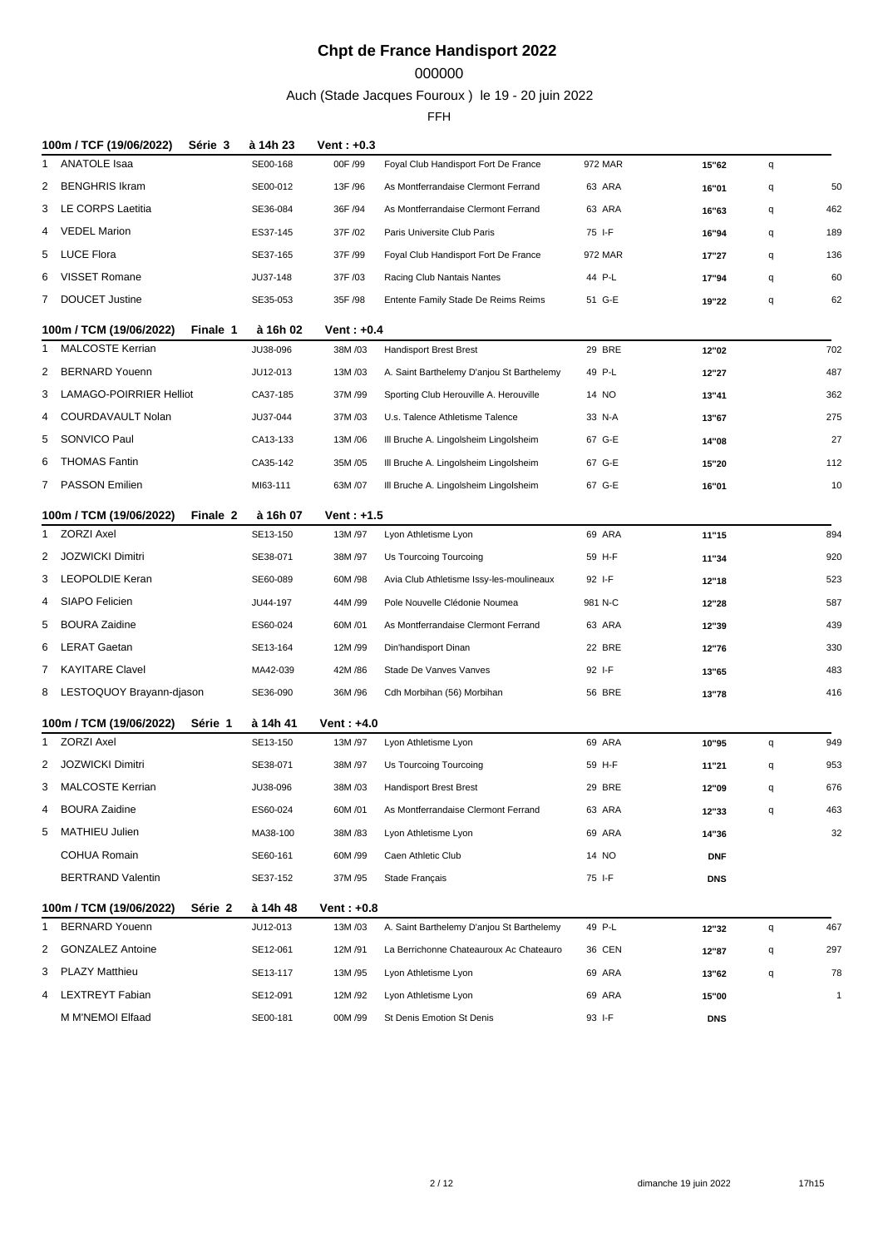## 

Auch (Stade Jacques Fouroux ) le 19 - 20 juin 2022

| 100m / TCF (19/06/2022)<br>Série 3                           | à 14h 23             | Vent: $+0.3$           |                                           |               |            |   |              |
|--------------------------------------------------------------|----------------------|------------------------|-------------------------------------------|---------------|------------|---|--------------|
| ANATOLE Isaa<br>1                                            | SE00-168             | 00F /99                | Foyal Club Handisport Fort De France      | 972 MAR       | 15"62      | q |              |
| <b>BENGHRIS Ikram</b><br>2                                   | SE00-012             | 13F /96                | As Montferrandaise Clermont Ferrand       | 63 ARA        | 16"01      | q | 50           |
| LE CORPS Laetitia<br>3                                       | SE36-084             | 36F /94                | As Montferrandaise Clermont Ferrand       | 63 ARA        | 16"63      | q | 462          |
| <b>VEDEL Marion</b><br>4                                     | ES37-145             | 37F /02                | Paris Universite Club Paris               | 75 I-F        | 16"94      | q | 189          |
| LUCE Flora<br>5                                              | SE37-165             | 37F /99                | Foyal Club Handisport Fort De France      | 972 MAR       | 17"27      | q | 136          |
| <b>VISSET Romane</b><br>6                                    | JU37-148             | 37F /03                | Racing Club Nantais Nantes                | 44 P-L        | 17"94      | q | 60           |
| 7 DOUCET Justine                                             | SE35-053             | 35F /98                | Entente Family Stade De Reims Reims       | 51 G-E        | 19"22      | q | 62           |
| 100m / TCM (19/06/2022)<br>Finale 1                          | à 16h 02             | Vent: $+0.4$           |                                           |               |            |   |              |
| <b>MALCOSTE Kerrian</b><br>1                                 | JU38-096             | 38M/03                 | <b>Handisport Brest Brest</b>             | 29 BRE        | 12"02      |   | 702          |
| <b>BERNARD Youenn</b><br>2                                   | JU12-013             | 13M/03                 | A. Saint Barthelemy D'anjou St Barthelemy | 49 P-L        | 12"27      |   | 487          |
| <b>LAMAGO-POIRRIER Helliot</b><br>3                          | CA37-185             | 37M/99                 | Sporting Club Herouville A. Herouville    | 14 NO         | 13"41      |   | 362          |
| COURDAVAULT Nolan<br>4                                       | JU37-044             | 37M/03                 | U.s. Talence Athletisme Talence           | 33 N-A        | 13"67      |   | 275          |
| SONVICO Paul<br>5                                            | CA13-133             | 13M/06                 | III Bruche A. Lingolsheim Lingolsheim     | 67 G-E        | 14"08      |   | 27           |
| <b>THOMAS Fantin</b><br>6                                    | CA35-142             | 35M/05                 | III Bruche A. Lingolsheim Lingolsheim     | 67 G-E        | 15"20      |   | 112          |
| 7 PASSON Emilien                                             | MI63-111             | 63M /07                | III Bruche A. Lingolsheim Lingolsheim     | 67 G-E        | 16"01      |   | 10           |
| 100m / TCM (19/06/2022)<br>Finale 2                          | à 16h 07             | Vent: +1.5             |                                           |               |            |   |              |
| ZORZI Axel<br>1                                              | SE13-150             | 13M/97                 | Lyon Athletisme Lyon                      | 69 ARA        | 11"15      |   | 894          |
| <b>JOZWICKI Dimitri</b><br>2                                 | SE38-071             | 38M /97                | Us Tourcoing Tourcoing                    | 59 H-F        | 11"34      |   | 920          |
| LEOPOLDIE Keran<br>3                                         | SE60-089             | 60M /98                | Avia Club Athletisme Issy-les-moulineaux  | 92 I-F        | 12"18      |   | 523          |
| SIAPO Felicien<br>4                                          | JU44-197             | 44M /99                | Pole Nouvelle Clédonie Noumea             | 981 N-C       | 12"28      |   | 587          |
| <b>BOURA Zaidine</b><br>5                                    | ES60-024             | 60M/01                 | As Montferrandaise Clermont Ferrand       | 63 ARA        | 12"39      |   | 439          |
| <b>LERAT Gaetan</b><br>6                                     | SE13-164             | 12M/99                 | Din'handisport Dinan                      | 22 BRE        | 12"76      |   | 330          |
| 7 KAYITARE Clavel                                            | MA42-039             | 42M /86                | Stade De Vanves Vanves                    | 92 I-F        | 13"65      |   | 483          |
| LESTOQUOY Brayann-djason<br>8                                | SE36-090             | 36M/96                 | Cdh Morbihan (56) Morbihan                | <b>56 BRE</b> | 13"78      |   | 416          |
|                                                              |                      |                        |                                           |               |            |   |              |
| 100m / TCM (19/06/2022)<br>Série 1<br><b>ZORZI Axel</b><br>1 | à 14h 41<br>SE13-150 | Vent: $+4.0$<br>13M/97 | Lyon Athletisme Lyon                      | 69 ARA        | 10"95      | q | 949          |
| <b>JOZWICKI Dimitri</b><br>2                                 | SE38-071             | 38M /97                | Us Tourcoing Tourcoing                    | 59 H-F        | 11"21      | q | 953          |
| 3 MALCOSTE Kerrian                                           | JU38-096             | 38M/03                 | <b>Handisport Brest Brest</b>             | 29 BRE        | 12"09      | q | 676          |
| <b>BOURA Zaidine</b><br>4                                    | ES60-024             | 60M/01                 | As Montferrandaise Clermont Ferrand       | 63 ARA        | 12"33      | q | 463          |
| MATHIEU Julien<br>5                                          | MA38-100             | 38M/83                 | Lyon Athletisme Lyon                      | 69 ARA        | 14"36      |   | 32           |
| <b>COHUA Romain</b>                                          | SE60-161             | 60M /99                | Caen Athletic Club                        | 14 NO         | <b>DNF</b> |   |              |
| <b>BERTRAND Valentin</b>                                     | SE37-152             | 37M /95                | Stade Français                            | 75 I-F        | <b>DNS</b> |   |              |
|                                                              |                      |                        |                                           |               |            |   |              |
| 100m / TCM (19/06/2022)<br>Série 2                           | à 14h 48             | Vent: $+0.8$           |                                           |               |            |   |              |
| <b>BERNARD Youenn</b><br>1                                   | JU12-013             | 13M/03                 | A. Saint Barthelemy D'anjou St Barthelemy | 49 P-L        | 12"32      | q | 467          |
| <b>GONZALEZ Antoine</b><br>2                                 | SE12-061             | 12M/91                 | La Berrichonne Chateauroux Ac Chateauro   | 36 CEN        | 12"87      | q | 297          |
| 3 PLAZY Matthieu                                             | SE13-117             | 13M/95                 | Lyon Athletisme Lyon                      | 69 ARA        | 13"62      | q | 78           |
| LEXTREYT Fabian<br>4                                         | SE12-091             | 12M/92                 | Lyon Athletisme Lyon                      | 69 ARA        | 15"00      |   | $\mathbf{1}$ |
| M M'NEMOI Elfaad                                             | SE00-181             | 00M /99                | St Denis Emotion St Denis                 | 93 I-F        | <b>DNS</b> |   |              |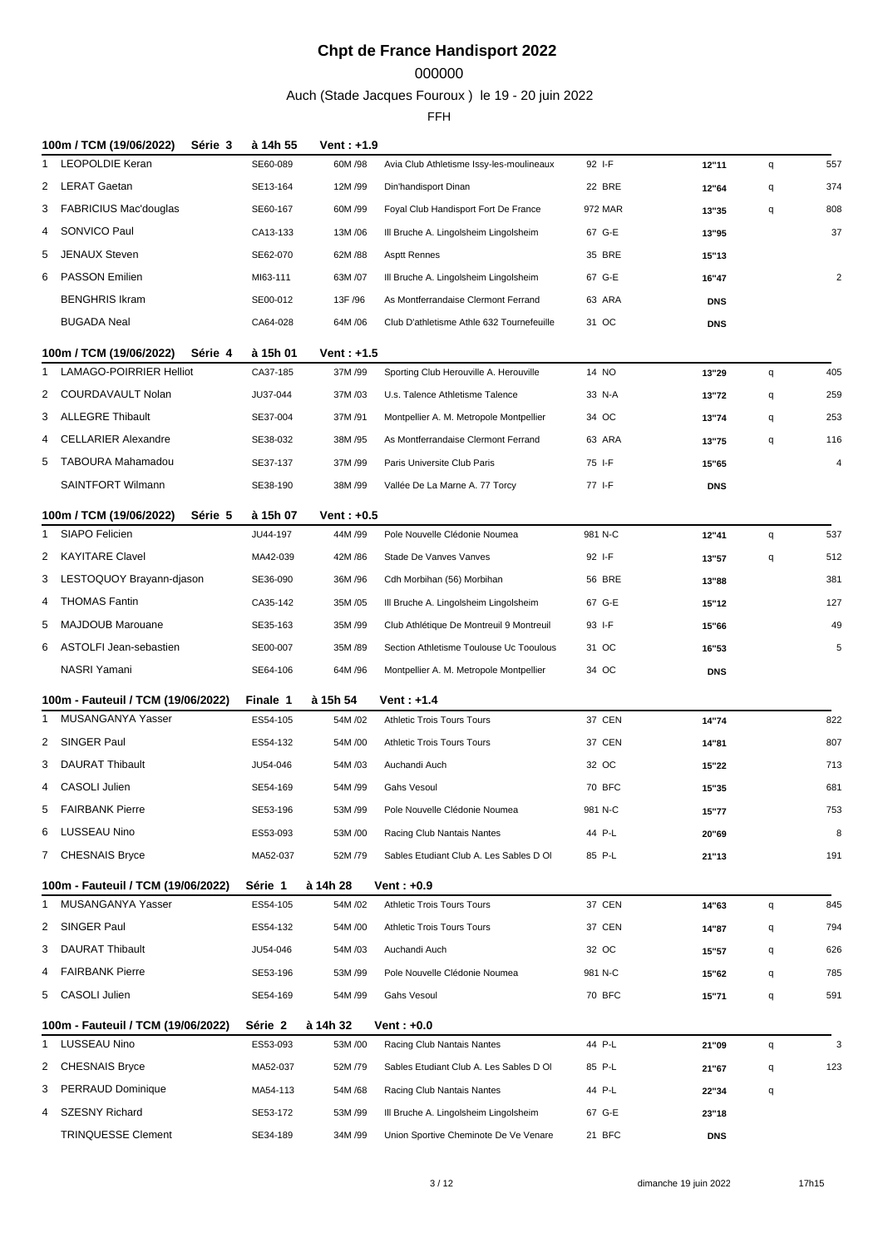### 

Auch (Stade Jacques Fouroux ) le 19 - 20 juin 2022

|    | 100m / TCM (19/06/2022)<br>Série 3 | à 14h 55 | Vent : +1.9  |                                           |               |                     |   |                |
|----|------------------------------------|----------|--------------|-------------------------------------------|---------------|---------------------|---|----------------|
| 1. | LEOPOLDIE Keran                    | SE60-089 | 60M/98       | Avia Club Athletisme Issy-les-moulineaux  | 92 I-F        | 12"11               | q | 557            |
| 2  | LERAT Gaetan                       | SE13-164 | 12M /99      | Din'handisport Dinan                      | 22 BRE        | 12"64               | q | 374            |
|    | 3 FABRICIUS Mac'douglas            | SE60-167 | 60M /99      | Foyal Club Handisport Fort De France      | 972 MAR       | 13"35               | q | 808            |
| 4  | SONVICO Paul                       | CA13-133 | 13M/06       | III Bruche A. Lingolsheim Lingolsheim     | 67 G-E        | 13"95               |   | 37             |
| 5  | <b>JENAUX Steven</b>               | SE62-070 | 62M / 88     | <b>Asptt Rennes</b>                       | 35 BRE        | 15"13               |   |                |
| 6  | <b>PASSON Emilien</b>              | MI63-111 | 63M /07      | III Bruche A. Lingolsheim Lingolsheim     | 67 G-E        | 16"47               |   | $\overline{2}$ |
|    | <b>BENGHRIS Ikram</b>              | SE00-012 | 13F /96      | As Montferrandaise Clermont Ferrand       | 63 ARA        | <b>DNS</b>          |   |                |
|    | <b>BUGADA Neal</b>                 | CA64-028 | 64M / 06     | Club D'athletisme Athle 632 Tournefeuille | 31 OC         | <b>DNS</b>          |   |                |
|    | 100m / TCM (19/06/2022)<br>Série 4 | à 15h 01 | Vent: $+1.5$ |                                           |               |                     |   |                |
| 1  | <b>LAMAGO-POIRRIER Helliot</b>     | CA37-185 | 37M /99      | Sporting Club Herouville A. Herouville    | 14 NO         | 13"29               | q | 405            |
| 2  | COURDAVAULT Nolan                  | JU37-044 | 37M/03       | U.s. Talence Athletisme Talence           | 33 N-A        | 13"72               | q | 259            |
| 3  | <b>ALLEGRE Thibault</b>            | SE37-004 | 37M/91       | Montpellier A. M. Metropole Montpellier   | 34 OC         | 13"74               | q | 253            |
| 4  | <b>CELLARIER Alexandre</b>         | SE38-032 | 38M /95      | As Montferrandaise Clermont Ferrand       | 63 ARA        | 13"75               | q | 116            |
| 5  | TABOURA Mahamadou                  | SE37-137 | 37M /99      | Paris Universite Club Paris               | 75 I-F        |                     |   | 4              |
|    | <b>SAINTFORT Wilmann</b>           | SE38-190 | 38M /99      | Vallée De La Marne A. 77 Torcy            | 77 I-F        | 15"65<br><b>DNS</b> |   |                |
|    |                                    |          |              |                                           |               |                     |   |                |
|    | 100m / TCM (19/06/2022)<br>Série 5 | à 15h 07 | Vent: $+0.5$ |                                           |               |                     |   |                |
|    | <b>SIAPO Felicien</b>              | JU44-197 | 44M /99      | Pole Nouvelle Clédonie Noumea             | 981 N-C       | 12"41               | q | 537            |
|    | 2 KAYITARE Clavel                  | MA42-039 | 42M /86      | Stade De Vanves Vanves                    | 92 I-F        | 13"57               | q | 512            |
| 3  | LESTOQUOY Brayann-djason           | SE36-090 | 36M / 96     | Cdh Morbihan (56) Morbihan                | <b>56 BRE</b> | 13"88               |   | 381            |
| 4  | <b>THOMAS Fantin</b>               | CA35-142 | 35M /05      | III Bruche A. Lingolsheim Lingolsheim     | 67 G-E        | 15"12               |   | 127            |
| 5  | <b>MAJDOUB Marouane</b>            | SE35-163 | 35M /99      | Club Athlétique De Montreuil 9 Montreuil  | 93 I-F        | 15"66               |   | 49             |
|    |                                    |          |              |                                           |               |                     |   |                |
| 6  | ASTOLFI Jean-sebastien             | SE00-007 | 35M /89      | Section Athletisme Toulouse Uc Tooulous   | 31 OC         | 16"53               |   | 5              |
|    | NASRI Yamani                       | SE64-106 | 64M /96      | Montpellier A. M. Metropole Montpellier   | 34 OC         | <b>DNS</b>          |   |                |
|    | 100m - Fauteuil / TCM (19/06/2022) | Finale 1 | à 15h 54     | <b>Vent: +1.4</b>                         |               |                     |   |                |
| 1  | MUSANGANYA Yasser                  | ES54-105 | 54M/02       | <b>Athletic Trois Tours Tours</b>         | 37 CEN        | 14"74               |   | 822            |
| 2  | SINGER Paul                        | ES54-132 | 54M /00      | <b>Athletic Trois Tours Tours</b>         | 37 CEN        | 14"81               |   | 807            |
| 3  | <b>DAURAT Thibault</b>             | JU54-046 | 54M/03       | Auchandi Auch                             | 32 OC         | 15"22               |   | 713            |
| 4  | <b>CASOLI Julien</b>               | SE54-169 | 54M /99      | <b>Gahs Vesoul</b>                        | 70 BFC        | 15"35               |   | 681            |
| 5  | <b>FAIRBANK Pierre</b>             | SE53-196 | 53M/99       | Pole Nouvelle Clédonie Noumea             | 981 N-C       | 15"77               |   | 753            |
|    | 6 LUSSEAU Nino                     | ES53-093 | 53M /00      | Racing Club Nantais Nantes                | 44 P-L        | 20"69               |   | 8              |
|    | 7 CHESNAIS Bryce                   | MA52-037 | 52M /79      | Sables Etudiant Club A. Les Sables D OI   | 85 P-L        | 21"13               |   | 191            |
|    |                                    |          |              |                                           |               |                     |   |                |
|    | 100m - Fauteuil / TCM (19/06/2022) | Série 1  | à 14h 28     | Vent : +0.9                               |               |                     |   |                |
| 1  | MUSANGANYA Yasser                  | ES54-105 | 54M/02       | Athletic Trois Tours Tours                | 37 CEN        | 14"63               | q | 845            |
|    | 2 SINGER Paul                      | ES54-132 | 54M /00      | <b>Athletic Trois Tours Tours</b>         | 37 CEN        | 14"87               | q | 794            |
| 3  | DAURAT Thibault                    | JU54-046 | 54M /03      | Auchandi Auch                             | 32 OC         | 15"57               | q | 626            |
| 4  | <b>FAIRBANK Pierre</b>             | SE53-196 | 53M /99      | Pole Nouvelle Clédonie Noumea             | 981 N-C       | 15"62               | q | 785            |
|    | 5 CASOLI Julien                    | SE54-169 | 54M /99      | Gahs Vesoul                               | 70 BFC        | 15"71               | q | 591            |
|    | 100m - Fauteuil / TCM (19/06/2022) | Série 2  | à 14h 32     | Vent: $+0.0$                              |               |                     |   |                |
| 1  | <b>LUSSEAU Nino</b>                | ES53-093 | 53M /00      | Racing Club Nantais Nantes                | 44 P-L        | 21"09               | q | 3              |
| 2  | <b>CHESNAIS Bryce</b>              | MA52-037 | 52M /79      | Sables Etudiant Club A. Les Sables D OI   | 85 P-L        | 21"67               | q | 123            |
|    | 3 PERRAUD Dominique                | MA54-113 | 54M /68      | Racing Club Nantais Nantes                | 44 P-L        | 22"34               | q |                |
| 4  | <b>SZESNY Richard</b>              | SE53-172 | 53M /99      | III Bruche A. Lingolsheim Lingolsheim     | 67 G-E        | 23"18               |   |                |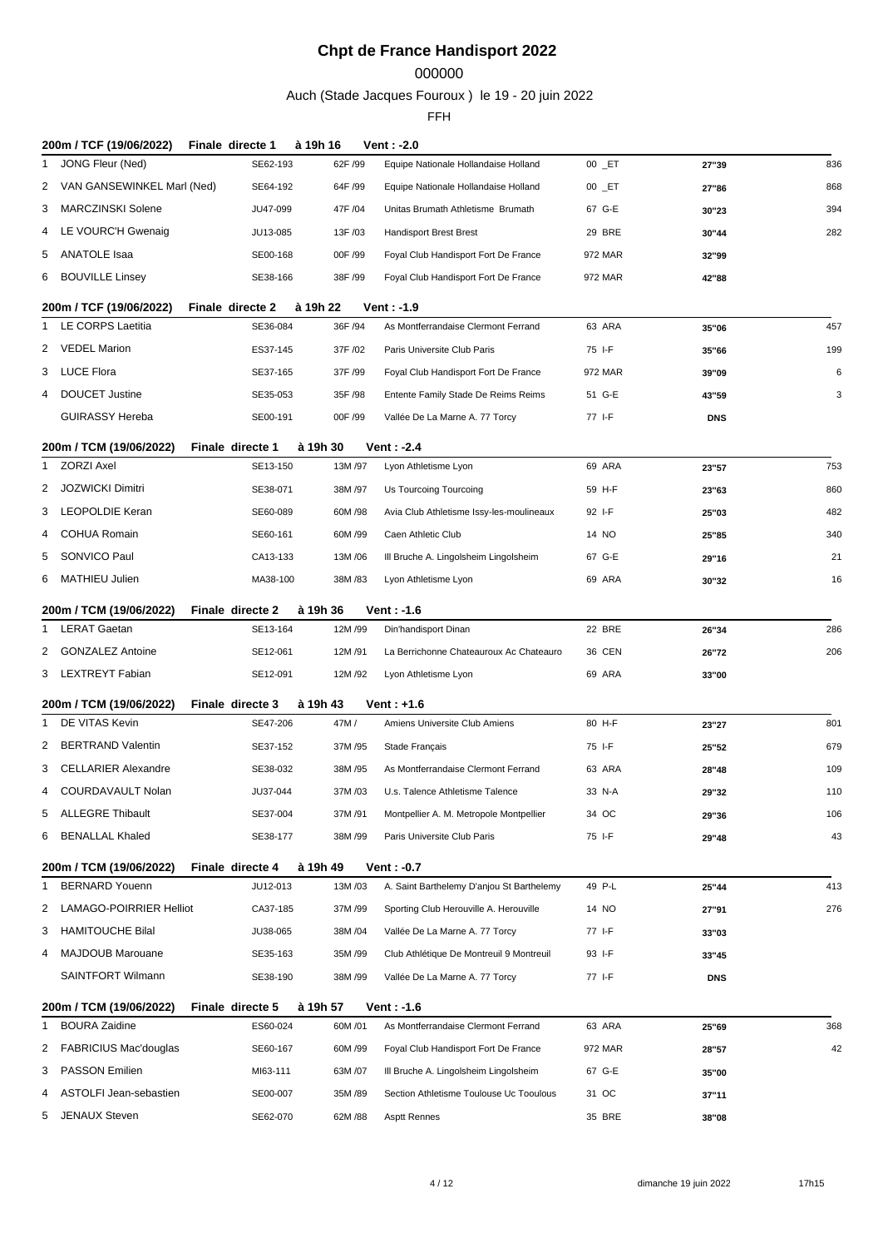## 

Auch (Stade Jacques Fouroux ) le 19 - 20 juin 2022

| 200m / TCF (19/06/2022)                             | Finale directe 1             | à 19h 16           | Vent: -2.0                                |            |            |     |
|-----------------------------------------------------|------------------------------|--------------------|-------------------------------------------|------------|------------|-----|
| JONG Fleur (Ned)<br>1                               | SE62-193                     | 62F /99            | Equipe Nationale Hollandaise Holland      | $00$ $E$ T | 27"39      | 836 |
| 2 VAN GANSEWINKEL Marl (Ned)                        | SE64-192                     | 64F /99            | Equipe Nationale Hollandaise Holland      | $00$ $E$ T | 27"86      | 868 |
| MARCZINSKI Solene<br>3                              | JU47-099                     | 47F /04            | Unitas Brumath Athletisme Brumath         | 67 G-E     | 30"23      | 394 |
| LE VOURC'H Gwenaig<br>4                             | JU13-085                     | 13F /03            | <b>Handisport Brest Brest</b>             | 29 BRE     | 30"44      | 282 |
| ANATOLE Isaa<br>5                                   | SE00-168                     | 00F /99            | Foyal Club Handisport Fort De France      | 972 MAR    | 32"99      |     |
| <b>BOUVILLE Linsey</b><br>6                         | SE38-166                     | 38F /99            | Foyal Club Handisport Fort De France      | 972 MAR    | 42"88      |     |
| 200m / TCF (19/06/2022)                             | Finale directe 2             | à 19h 22           | Vent: $-1.9$                              |            |            |     |
| LE CORPS Laetitia<br>1                              | SE36-084                     | 36F /94            | As Montferrandaise Clermont Ferrand       | 63 ARA     | 35"06      | 457 |
| 2 VEDEL Marion                                      | ES37-145                     | 37F /02            | Paris Universite Club Paris               | 75 I-F     | 35"66      | 199 |
| 3 LUCE Flora                                        | SE37-165                     | 37F /99            | Foyal Club Handisport Fort De France      | 972 MAR    | 39"09      | 6   |
| <b>DOUCET Justine</b><br>$\overline{4}$             | SE35-053                     | 35F /98            | Entente Family Stade De Reims Reims       | 51 G-E     | 43"59      | 3   |
| <b>GUIRASSY Hereba</b>                              | SE00-191                     | 00F /99            | Vallée De La Marne A. 77 Torcy            | 77 I-F     | <b>DNS</b> |     |
|                                                     |                              |                    |                                           |            |            |     |
| 200m / TCM (19/06/2022)<br><b>ZORZI Axel</b><br>1   | Finale directe 1<br>SE13-150 | à 19h 30<br>13M/97 | Vent: -2.4<br>Lyon Athletisme Lyon        | 69 ARA     | 23"57      | 753 |
| JOZWICKI Dimitri<br>2                               | SE38-071                     | 38M/97             | Us Tourcoing Tourcoing                    | 59 H-F     | 23"63      | 860 |
| LEOPOLDIE Keran<br>3                                | SE60-089                     | 60M/98             | Avia Club Athletisme Issy-les-moulineaux  | 92 I-F     | 25"03      | 482 |
| <b>COHUA Romain</b><br>4                            | SE60-161                     | 60M/99             | Caen Athletic Club                        | 14 NO      | 25"85      | 340 |
| SONVICO Paul<br>5                                   | CA13-133                     | 13M/06             | III Bruche A. Lingolsheim Lingolsheim     | 67 G-E     | 29"16      | 21  |
| MATHIEU Julien<br>6                                 | MA38-100                     | 38M/83             | Lyon Athletisme Lyon                      | 69 ARA     | 30"32      | 16  |
|                                                     |                              |                    |                                           |            |            |     |
| 200m / TCM (19/06/2022)<br><b>LERAT Gaetan</b><br>1 | Finale directe 2<br>SE13-164 | à 19h 36<br>12M/99 | Vent : -1.6<br>Din'handisport Dinan       | 22 BRE     |            | 286 |
| <b>GONZALEZ Antoine</b><br>2                        | SE12-061                     | 12M/91             | La Berrichonne Chateauroux Ac Chateauro   | 36 CEN     | 26"34      | 206 |
| 3 LEXTREYT Fabian                                   | SE12-091                     | 12M/92             | Lyon Athletisme Lyon                      | 69 ARA     | 26"72      |     |
|                                                     |                              |                    |                                           |            | 33"00      |     |
| 200m / TCM (19/06/2022)                             | Finale directe 3             | à 19h 43           | Vent: $+1.6$                              |            |            |     |
| DE VITAS Kevin<br>1.                                | SE47-206                     | 47M/               | Amiens Universite Club Amiens             | 80 H-F     | 23"27      | 801 |
| <b>BERTRAND Valentin</b><br>2                       | SE37-152                     | 37M/95             | Stade Français                            | 75 I-F     | 25"52      | 679 |
| <b>CELLARIER Alexandre</b><br>3                     | SE38-032                     | 38M/95             | As Montferrandaise Clermont Ferrand       | 63 ARA     | 28"48      | 109 |
| COURDAVAULT Nolan<br>4                              | JU37-044                     | 37M/03             | U.s. Talence Athletisme Talence           | 33 N-A     | 29"32      | 110 |
| 5 ALLEGRE Thibault                                  | SE37-004                     | 37M/91             | Montpellier A. M. Metropole Montpellier   | 34 OC      | 29"36      | 106 |
| 6 BENALLAL Khaled                                   | SE38-177                     | 38M/99             | Paris Universite Club Paris               | 75 I-F     | 29"48      | 43  |
| 200m / TCM (19/06/2022)                             | Finale directe 4             | à 19h 49           | Vent : -0.7                               |            |            |     |
| <b>BERNARD Youenn</b><br>1                          | JU12-013                     | 13M/03             | A. Saint Barthelemy D'anjou St Barthelemy | 49 P-L     | 25"44      | 413 |
| 2 LAMAGO-POIRRIER Helliot                           | CA37-185                     | 37M/99             | Sporting Club Herouville A. Herouville    | 14 NO      | 27"91      | 276 |
| <b>HAMITOUCHE Bilal</b><br>3                        | JU38-065                     | 38M/04             | Vallée De La Marne A. 77 Torcy            | 77 I-F     | 33"03      |     |
| <b>MAJDOUB Marouane</b><br>4                        | SE35-163                     | 35M/99             | Club Athlétique De Montreuil 9 Montreuil  | 93 I-F     | 33"45      |     |
| <b>SAINTFORT Wilmann</b>                            | SE38-190                     | 38M/99             | Vallée De La Marne A. 77 Torcy            | 77 I-F     | <b>DNS</b> |     |
| 200m / TCM (19/06/2022)                             | Finale directe 5             | à 19h 57           | Vent : -1.6                               |            |            |     |
| <b>BOURA Zaidine</b><br>1                           | ES60-024                     | 60M/01             | As Montferrandaise Clermont Ferrand       | 63 ARA     | 25"69      | 368 |
| 2 FABRICIUS Mac'douglas                             | SE60-167                     | 60M /99            | Foyal Club Handisport Fort De France      | 972 MAR    | 28"57      | 42  |
| <b>PASSON Emilien</b><br>3                          | MI63-111                     | 63M/07             | III Bruche A. Lingolsheim Lingolsheim     | 67 G-E     | 35"00      |     |
| ASTOLFI Jean-sebastien<br>4                         | SE00-007                     | 35M/89             | Section Athletisme Toulouse Uc Tooulous   | 31 OC      | 37"11      |     |
| JENAUX Steven<br>5.                                 | SE62-070                     | 62M/88             | <b>Asptt Rennes</b>                       | 35 BRE     | 38"08      |     |
|                                                     |                              |                    |                                           |            |            |     |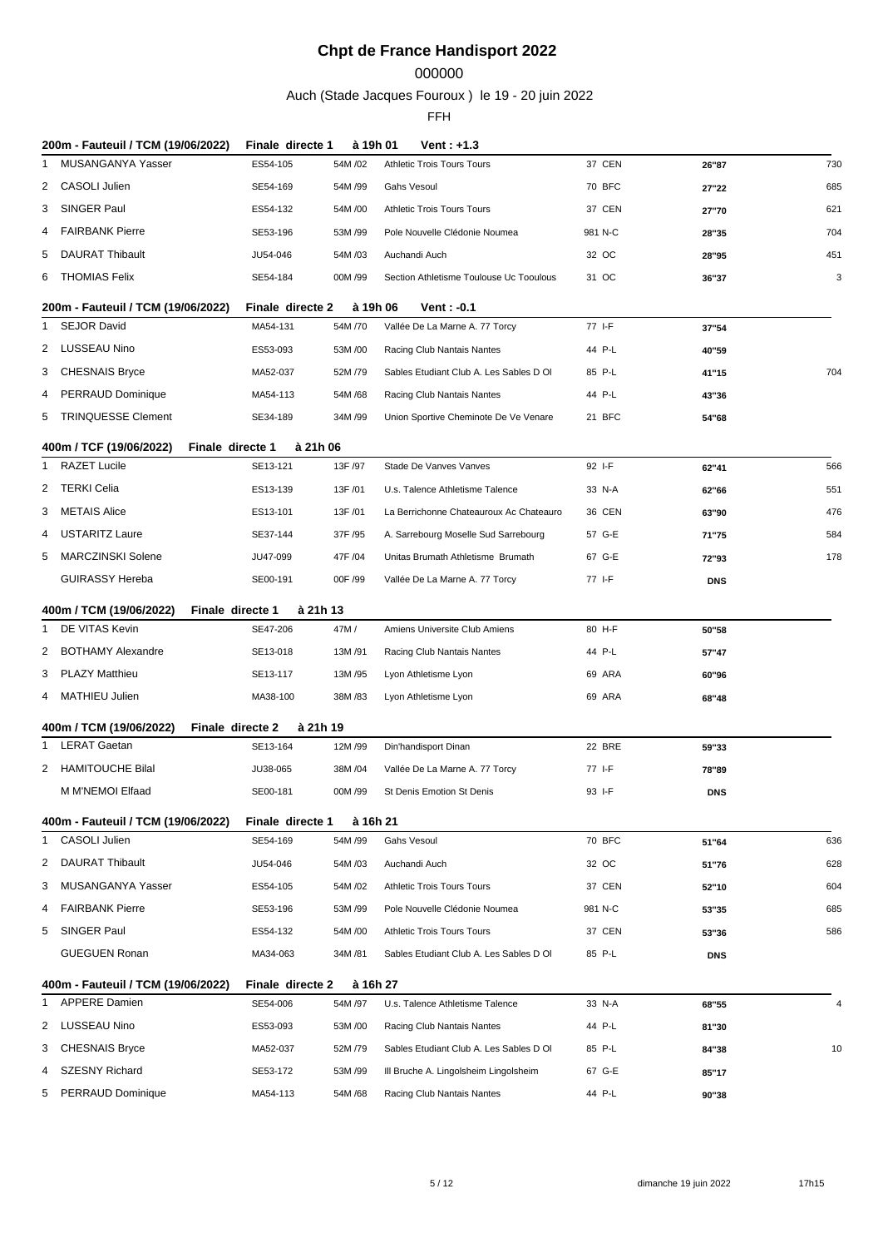## 

Auch (Stade Jacques Fouroux ) le 19 - 20 juin 2022

|              | 200m - Fauteuil / TCM (19/06/2022)          | Finale directe 1 | à 19h 01 | Vent : +1.3                             |         |            |     |
|--------------|---------------------------------------------|------------------|----------|-----------------------------------------|---------|------------|-----|
| 1            | MUSANGANYA Yasser                           | ES54-105         | 54M /02  | <b>Athletic Trois Tours Tours</b>       | 37 CEN  | 26"87      | 730 |
| 2            | <b>CASOLI Julien</b>                        | SE54-169         | 54M /99  | <b>Gahs Vesoul</b>                      | 70 BFC  | 27"22      | 685 |
|              | 3 SINGER Paul                               | ES54-132         | 54M /00  | <b>Athletic Trois Tours Tours</b>       | 37 CEN  | 27"70      | 621 |
| 4            | <b>FAIRBANK Pierre</b>                      | SE53-196         | 53M /99  | Pole Nouvelle Clédonie Noumea           | 981 N-C | 28"35      | 704 |
| 5            | <b>DAURAT Thibault</b>                      | JU54-046         | 54M/03   | Auchandi Auch                           | 32 OC   | 28"95      | 451 |
| 6            | THOMIAS Felix                               | SE54-184         | 00M /99  | Section Athletisme Toulouse Uc Tooulous | 31 OC   | 36"37      | 3   |
|              | 200m - Fauteuil / TCM (19/06/2022)          | Finale directe 2 | à 19h 06 | <b>Vent: -0.1</b>                       |         |            |     |
| 1            | <b>SEJOR David</b>                          | MA54-131         | 54M /70  | Vallée De La Marne A. 77 Torcy          | 77 I-F  | 37"54      |     |
|              | 2 LUSSEAU Nino                              | ES53-093         | 53M/00   | Racing Club Nantais Nantes              | 44 P-L  | 40"59      |     |
| 3            | <b>CHESNAIS Bryce</b>                       | MA52-037         | 52M /79  | Sables Etudiant Club A. Les Sables D OI | 85 P-L  | 41"15      | 704 |
| 4            | <b>PERRAUD Dominique</b>                    | MA54-113         | 54M /68  | Racing Club Nantais Nantes              | 44 P-L  | 43"36      |     |
| 5            | <b>TRINQUESSE Clement</b>                   | SE34-189         | 34M /99  | Union Sportive Cheminote De Ve Venare   | 21 BFC  | 54"68      |     |
|              | 400m / TCF (19/06/2022)<br>Finale directe 1 | à 21h 06         |          |                                         |         |            |     |
| 1            | <b>RAZET Lucile</b>                         | SE13-121         | 13F /97  | Stade De Vanves Vanves                  | 92 I-F  | 62"41      | 566 |
| 2            | <b>TERKI Celia</b>                          | ES13-139         | 13F /01  | U.s. Talence Athletisme Talence         | 33 N-A  | 62"66      | 551 |
|              | 3 METAIS Alice                              | ES13-101         | 13F /01  | La Berrichonne Chateauroux Ac Chateauro | 36 CEN  | 63"90      | 476 |
| 4            | <b>USTARITZ Laure</b>                       | SE37-144         | 37F /95  | A. Sarrebourg Moselle Sud Sarrebourg    | 57 G-E  | 71"75      | 584 |
| 5            | MARCZINSKI Solene                           | JU47-099         | 47F /04  | Unitas Brumath Athletisme Brumath       | 67 G-E  | 72"93      | 178 |
|              | <b>GUIRASSY Hereba</b>                      | SE00-191         | 00F /99  | Vallée De La Marne A. 77 Torcy          | 77 I-F  | <b>DNS</b> |     |
|              | 400m / TCM (19/06/2022)<br>Finale directe 1 | à 21h 13         |          |                                         |         |            |     |
| 1            | DE VITAS Kevin                              | SE47-206         | 47M/     | Amiens Universite Club Amiens           | 80 H-F  | 50"58      |     |
| 2            | <b>BOTHAMY Alexandre</b>                    | SE13-018         | 13M/91   | Racing Club Nantais Nantes              | 44 P-L  | 57"47      |     |
|              | 3 PLAZY Matthieu                            | SE13-117         | 13M /95  | Lyon Athletisme Lyon                    | 69 ARA  | 60"96      |     |
|              | 4 MATHIEU Julien                            | MA38-100         | 38M/83   | Lyon Athletisme Lyon                    | 69 ARA  | 68"48      |     |
|              | 400m / TCM (19/06/2022)<br>Finale directe 2 | à 21h 19         |          |                                         |         |            |     |
| 1            | <b>LERAT Gaetan</b>                         | SE13-164         | 12M /99  | Din'handisport Dinan                    | 22 BRE  | 59"33      |     |
| 2            | <b>HAMITOUCHE Bilal</b>                     | JU38-065         | 38M/04   | Vallée De La Marne A. 77 Torcy          | 77 I-F  | 78"89      |     |
|              | M M'NEMOI Elfaad                            | SE00-181         | 00M /99  | St Denis Emotion St Denis               | 93 I-F  | <b>DNS</b> |     |
|              | 400m - Fauteuil / TCM (19/06/2022)          | Finale directe 1 | à 16h 21 |                                         |         |            |     |
| $\mathbf{1}$ | CASOLI Julien                               | SE54-169         | 54M /99  | Gahs Vesoul                             | 70 BFC  | 51"64      | 636 |
| $\mathbf{2}$ | <b>DAURAT Thibault</b>                      | JU54-046         | 54M/03   | Auchandi Auch                           | 32 OC   | 51"76      | 628 |
| 3            | MUSANGANYA Yasser                           | ES54-105         | 54M/02   | <b>Athletic Trois Tours Tours</b>       | 37 CEN  | 52"10      | 604 |
| 4            | <b>FAIRBANK Pierre</b>                      | SE53-196         | 53M /99  | Pole Nouvelle Clédonie Noumea           | 981 N-C | 53"35      | 685 |
| 5            | SINGER Paul                                 | ES54-132         | 54M /00  | <b>Athletic Trois Tours Tours</b>       | 37 CEN  | 53"36      | 586 |
|              | <b>GUEGUEN Ronan</b>                        | MA34-063         | 34M/81   | Sables Etudiant Club A. Les Sables D OI | 85 P-L  | <b>DNS</b> |     |
|              | 400m - Fauteuil / TCM (19/06/2022)          | Finale directe 2 | à 16h 27 |                                         |         |            |     |
| 1            | <b>APPERE Damien</b>                        | SE54-006         | 54M /97  | U.s. Talence Athletisme Talence         | 33 N-A  | 68"55      | 4   |
|              | 2 LUSSEAU Nino                              | ES53-093         | 53M/00   | Racing Club Nantais Nantes              | 44 P-L  | 81"30      |     |
| 3            | <b>CHESNAIS Bryce</b>                       | MA52-037         | 52M /79  | Sables Etudiant Club A. Les Sables D OI | 85 P-L  | 84"38      | 10  |
| 4            | <b>SZESNY Richard</b>                       | SE53-172         | 53M /99  | III Bruche A. Lingolsheim Lingolsheim   | 67 G-E  | 85"17      |     |
| 5            | PERRAUD Dominique                           | MA54-113         | 54M/68   | Racing Club Nantais Nantes              | 44 P-L  | 90"38      |     |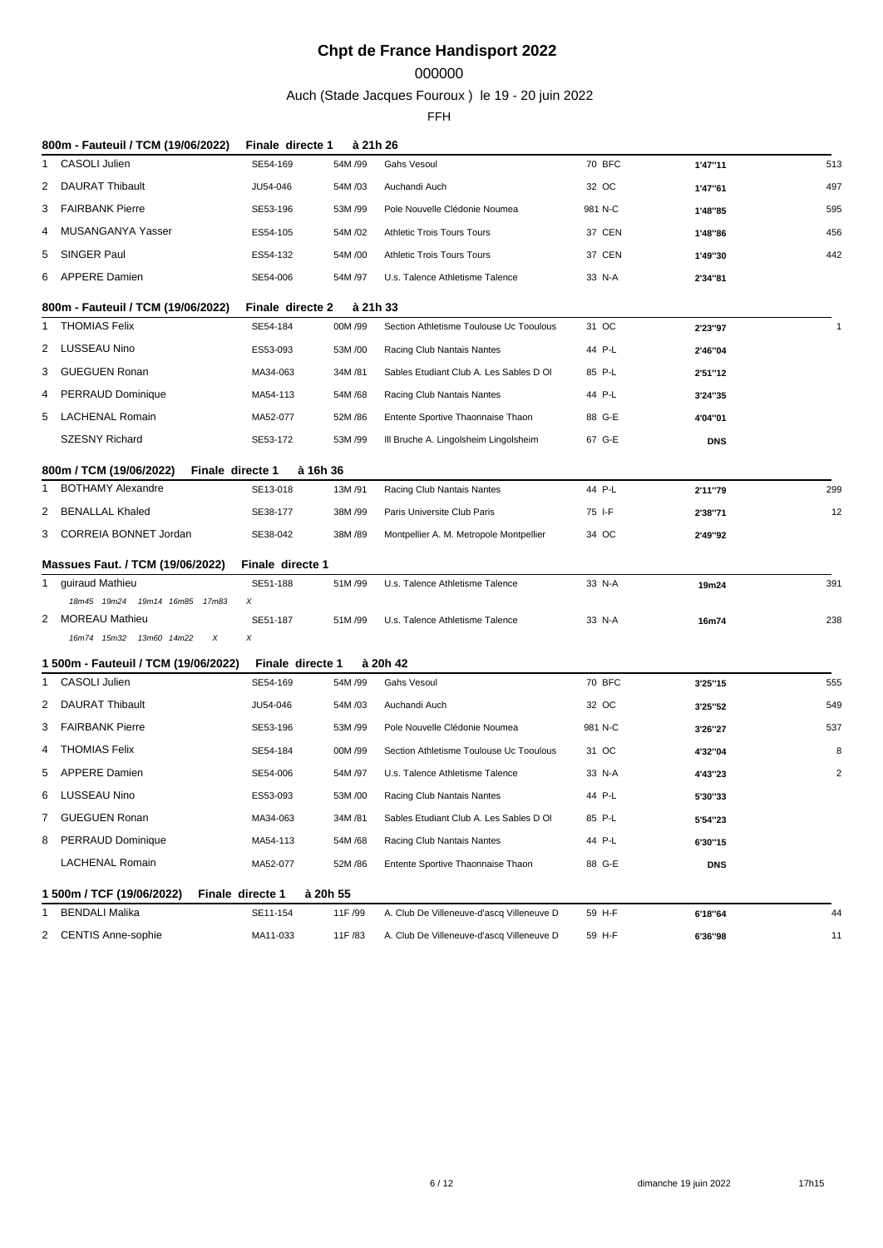## 

Auch (Stade Jacques Fouroux ) le 19 - 20 juin 2022

|   | 800m - Fauteuil / TCM (19/06/2022)                                      | Finale directe 1 | à 21h 26 |                                           |         |            |                |
|---|-------------------------------------------------------------------------|------------------|----------|-------------------------------------------|---------|------------|----------------|
| 1 | <b>CASOLI Julien</b>                                                    | SE54-169         | 54M /99  | Gahs Vesoul                               | 70 BFC  | 1'47"11    | 513            |
| 2 | <b>DAURAT Thibault</b>                                                  | JU54-046         | 54M/03   | Auchandi Auch                             | 32 OC   | 1'47"61    | 497            |
| 3 | FAIRBANK Pierre                                                         | SE53-196         | 53M /99  | Pole Nouvelle Clédonie Noumea             | 981 N-C | 1'48"85    | 595            |
| 4 | MUSANGANYA Yasser                                                       | ES54-105         | 54M/02   | <b>Athletic Trois Tours Tours</b>         | 37 CEN  | 1'48"86    | 456            |
| 5 | SINGER Paul                                                             | ES54-132         | 54M/00   | <b>Athletic Trois Tours Tours</b>         | 37 CEN  | 1'49"30    | 442            |
| 6 | APPERE Damien                                                           | SE54-006         | 54M /97  | U.s. Talence Athletisme Talence           | 33 N-A  | 2'34"81    |                |
|   | 800m - Fauteuil / TCM (19/06/2022)                                      | Finale directe 2 | à 21h 33 |                                           |         |            |                |
| 1 | <b>THOMIAS Felix</b>                                                    | SE54-184         | 00M /99  | Section Athletisme Toulouse Uc Tooulous   | 31 OC   | 2'23"97    | $\overline{1}$ |
| 2 | LUSSEAU Nino                                                            | ES53-093         | 53M/00   | Racing Club Nantais Nantes                | 44 P-L  | 2'46"04    |                |
| 3 | <b>GUEGUEN Ronan</b>                                                    | MA34-063         | 34M /81  | Sables Etudiant Club A. Les Sables D OI   | 85 P-L  | 2'51"12    |                |
| 4 | <b>PERRAUD Dominique</b>                                                | MA54-113         | 54M/68   | Racing Club Nantais Nantes                | 44 P-L  | 3'24"35    |                |
| 5 | LACHENAL Romain                                                         | MA52-077         | 52M/86   | Entente Sportive Thaonnaise Thaon         | 88 G-E  | 4'04"01    |                |
|   | <b>SZESNY Richard</b>                                                   | SE53-172         | 53M /99  | III Bruche A. Lingolsheim Lingolsheim     | 67 G-E  | <b>DNS</b> |                |
|   |                                                                         |                  | à 16h 36 |                                           |         |            |                |
| 1 | 800m / TCM (19/06/2022)<br>Finale directe 1<br><b>BOTHAMY Alexandre</b> | SE13-018         | 13M/91   | Racing Club Nantais Nantes                | 44 P-L  | 2'11"79    | 299            |
| 2 | BENALLAL Khaled                                                         | SE38-177         | 38M/99   | Paris Universite Club Paris               | 75 I-F  | 2'38"71    | 12             |
|   | 3 CORREIA BONNET Jordan                                                 | SE38-042         | 38M/89   | Montpellier A. M. Metropole Montpellier   | 34 OC   | 2'49"92    |                |
|   |                                                                         |                  |          |                                           |         |            |                |
|   | Massues Faut. / TCM (19/06/2022)                                        | Finale directe 1 |          |                                           |         |            |                |
| 1 | guiraud Mathieu<br>18m45 19m24 19m14 16m85 17m83                        | SE51-188<br>X    | 51M/99   | U.s. Talence Athletisme Talence           | 33 N-A  | 19m24      | 391            |
|   | 2 MOREAU Mathieu                                                        | SE51-187         | 51M/99   | U.s. Talence Athletisme Talence           | 33 N-A  | 16m74      | 238            |
|   | 16m74 15m32 13m60 14m22<br>X                                            | X                |          |                                           |         |            |                |
|   | 1 500m - Fauteuil / TCM (19/06/2022)                                    | Finale directe 1 |          | à 20h 42                                  |         |            |                |
| 1 | <b>CASOLI Julien</b>                                                    | SE54-169         | 54M /99  | <b>Gahs Vesoul</b>                        | 70 BFC  | 3'25"15    | 555            |
| 2 | DAURAT Thibault                                                         | JU54-046         | 54M/03   | Auchandi Auch                             | 32 OC   | 3'25"52    | 549            |
|   | 3 FAIRBANK Pierre                                                       | SE53-196         | 53M /99  | Pole Nouvelle Clédonie Noumea             | 981 N-C | 3'26"27    | 537            |
| 4 | THOMIAS Felix                                                           | SE54-184         | 00M/99   | Section Athletisme Toulouse Uc Tooulous   | 31 OC   | 4'32"04    | 8              |
| 5 | <b>APPERE Damien</b>                                                    | SE54-006         | 54M /97  | U.s. Talence Athletisme Talence           | 33 N-A  | 4'43"23    | 2              |
| 6 | LUSSEAU Nino                                                            | ES53-093         | 53M/00   | Racing Club Nantais Nantes                | 44 P-L  | 5'30"33    |                |
| 7 | <b>GUEGUEN Ronan</b>                                                    | MA34-063         | 34M /81  | Sables Etudiant Club A. Les Sables D OI   | 85 P-L  | 5'54"23    |                |
| 8 | <b>PERRAUD Dominique</b>                                                | MA54-113         | 54M /68  | Racing Club Nantais Nantes                | 44 P-L  | 6'30"15    |                |
|   | <b>LACHENAL Romain</b>                                                  | MA52-077         | 52M/86   | Entente Sportive Thaonnaise Thaon         | 88 G-E  | <b>DNS</b> |                |
|   | 1 500m / TCF (19/06/2022)                                               | Finale directe 1 | à 20h 55 |                                           |         |            |                |
| 1 | <b>BENDALI Malika</b>                                                   | SE11-154         | 11F /99  | A. Club De Villeneuve-d'ascq Villeneuve D | 59 H-F  | 6'18"64    | 44             |
| 2 | <b>CENTIS Anne-sophie</b>                                               | MA11-033         | 11F /83  | A. Club De Villeneuve-d'ascq Villeneuve D | 59 H-F  | 6'36"98    | 11             |
|   |                                                                         |                  |          |                                           |         |            |                |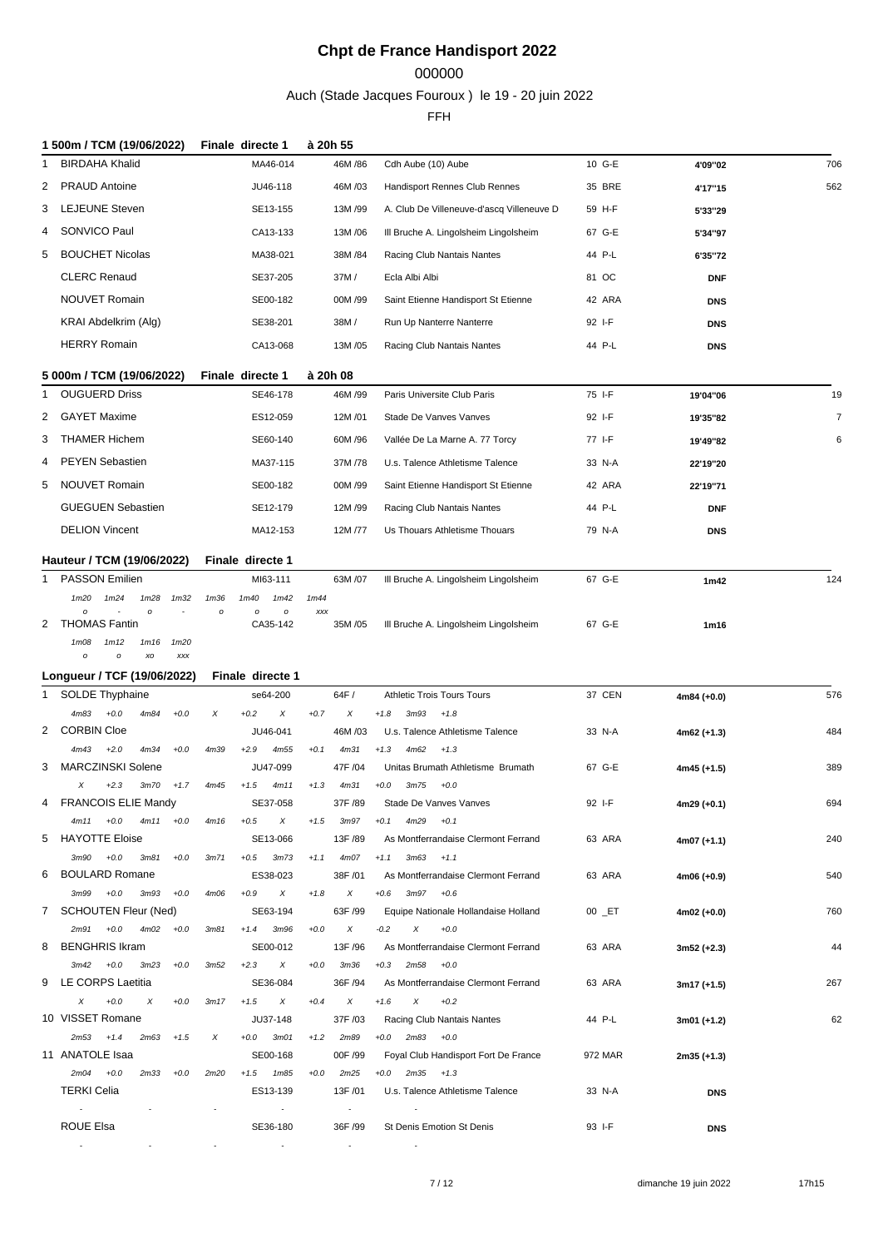### 000000

Auch (Stade Jacques Fouroux ) le 19 - 20 juin 2022

|    | 1 500m / TCM (19/06/2022)                                  |                  | Finale directe 1                      | à 20h 55                  |                                                               |         |               |                |
|----|------------------------------------------------------------|------------------|---------------------------------------|---------------------------|---------------------------------------------------------------|---------|---------------|----------------|
|    | <b>BIRDAHA Khalid</b>                                      |                  | MA46-014                              | 46M / 86                  | Cdh Aube (10) Aube                                            | 10 G-E  | 4'09"02       | 706            |
| 2  | <b>PRAUD Antoine</b>                                       |                  | JU46-118                              | 46M /03                   | Handisport Rennes Club Rennes                                 | 35 BRE  | 4'17"15       | 562            |
| 3  | <b>LEJEUNE Steven</b>                                      |                  | SE13-155                              | 13M/99                    | A. Club De Villeneuve-d'ascq Villeneuve D                     | 59 H-F  | 5'33"29       |                |
| 4  | SONVICO Paul                                               |                  | CA13-133                              | 13M/06                    | III Bruche A. Lingolsheim Lingolsheim                         | 67 G-E  | 5'34"97       |                |
|    | <b>BOUCHET Nicolas</b>                                     |                  |                                       | 38M / 84                  |                                                               | 44 P-L  |               |                |
| 5  |                                                            |                  | MA38-021                              |                           | Racing Club Nantais Nantes                                    |         | 6'35"72       |                |
|    | <b>CLERC Renaud</b>                                        |                  | SE37-205                              | 37M/                      | Ecla Albi Albi                                                | 81 OC   | <b>DNF</b>    |                |
|    | <b>NOUVET Romain</b>                                       |                  | SE00-182                              | 00M /99                   | Saint Etienne Handisport St Etienne                           | 42 ARA  | <b>DNS</b>    |                |
|    | KRAI Abdelkrim (Alg)                                       |                  | SE38-201                              | 38M/                      | Run Up Nanterre Nanterre                                      | 92 I-F  | <b>DNS</b>    |                |
|    | <b>HERRY Romain</b>                                        |                  | CA13-068                              | 13M/05                    | Racing Club Nantais Nantes                                    | 44 P-L  | <b>DNS</b>    |                |
|    | 5 000m / TCM (19/06/2022)                                  |                  | Finale directe 1                      | à 20h 08                  |                                                               |         |               |                |
| -1 | <b>OUGUERD Driss</b>                                       |                  | SE46-178                              | 46M /99                   | Paris Universite Club Paris                                   | 75 I-F  | 19'04"06      | 19             |
| 2  | <b>GAYET Maxime</b>                                        |                  | ES12-059                              | 12M/01                    | Stade De Vanves Vanves                                        | 92 I-F  | 19'35"82      | $\overline{7}$ |
| 3  | <b>THAMER Hichem</b>                                       |                  | SE60-140                              | 60M /96                   | Vallée De La Marne A. 77 Torcy                                | 77 I-F  | 19'49"82      | 6              |
| 4  | <b>PEYEN Sebastien</b>                                     |                  | MA37-115                              | 37M/78                    | U.s. Talence Athletisme Talence                               | 33 N-A  |               |                |
|    |                                                            |                  |                                       |                           |                                                               |         | 22'19"20      |                |
| 5  | <b>NOUVET Romain</b>                                       |                  | SE00-182                              | 00M /99                   | Saint Etienne Handisport St Etienne                           | 42 ARA  | 22'19"71      |                |
|    | <b>GUEGUEN Sebastien</b>                                   |                  | SE12-179                              | 12M/99                    | Racing Club Nantais Nantes                                    | 44 P-L  | <b>DNF</b>    |                |
|    | <b>DELION Vincent</b>                                      |                  | MA12-153                              | 12M /77                   | Us Thouars Athletisme Thouars                                 | 79 N-A  | <b>DNS</b>    |                |
|    | Hauteur / TCM (19/06/2022)                                 |                  | Finale directe 1                      |                           |                                                               |         |               |                |
| 1  | <b>PASSON Emilien</b>                                      |                  | MI63-111                              | 63M /07                   | III Bruche A. Lingolsheim Lingolsheim                         | 67 G-E  | 1m42          | 124            |
|    | 1m20<br>1m24<br>1m28<br>1 <sub>m32</sub>                   | 1 <sub>m36</sub> | 1m40<br>1m42                          | 1m44                      |                                                               |         |               |                |
| 2  | $\Omega$<br>$\circ$<br><b>THOMAS Fantin</b>                | $\circ$          | $\mathfrak{o}$<br>$\circ$<br>CA35-142 | XXX<br>35M/05             | III Bruche A. Lingolsheim Lingolsheim                         | 67 G-E  | 1m16          |                |
|    | 1m12<br>1m16<br>1m20<br>1m08                               |                  |                                       |                           |                                                               |         |               |                |
|    | XO<br><b>XXX</b><br>$\circ$<br>$\mathcal O$                |                  |                                       |                           |                                                               |         |               |                |
|    | Longueur / TCF (19/06/2022)                                |                  | Finale directe 1                      |                           |                                                               |         |               |                |
| 1  | <b>SOLDE Thyphaine</b><br>$+0.0$<br>4m83<br>4m84<br>$+0.0$ | X                | se64-200<br>$+0.2$<br>X               | 64F/<br>X<br>$+0.7$       | Athletic Trois Tours Tours<br>$+1.8$<br>3m93<br>$+1.8$        | 37 CEN  | 4m84 (+0.0)   | 576            |
| 2  | <b>CORBIN Cloe</b>                                         |                  | JU46-041                              | 46M/03                    | U.s. Talence Athletisme Talence                               | 33 N-A  | 4m62 (+1.3)   | 484            |
|    | 4m43<br>$+2.0$<br>4m34<br>$+0.0$                           | 4m39             | $+2.9$<br>4m55                        | $+0.1$<br>4m31            | $+1.3$<br>4m62<br>$+1.3$                                      |         |               |                |
| 3  | <b>MARCZINSKI Solene</b>                                   |                  | JU47-099                              | 47F /04                   | Unitas Brumath Athletisme Brumath                             | 67 G-E  | 4m45 (+1.5)   | 389            |
|    | X<br>$+2.3$<br>3m70<br>$+1.7$                              | 4m45             | $+1.5$<br>4m11                        | $+1.3$<br>4m31            | $+0.0$<br>3m75<br>$+0.0$                                      |         |               |                |
| 4  | <b>FRANCOIS ELIE Mandy</b>                                 |                  | SE37-058                              | 37F /89                   | Stade De Vanves Vanves                                        | 92 I-F  | 4m29 (+0.1)   | 694            |
|    | $4m11 + 0.0$<br>$4m11 + 0.0$                               | 4m16             | $+0.5$<br>X                           | $+1.5$<br>3m97            | $+0.1$<br>4m29<br>$+0.1$                                      |         |               |                |
|    | 5 HAYOTTE Eloise                                           |                  | SE13-066                              | 13F /89                   | As Montferrandaise Clermont Ferrand                           | 63 ARA  | 4m07 (+1.1)   | 240            |
| 6  | $3m90 +0.0$<br>3m81<br>$+0.0$<br><b>BOULARD Romane</b>     | 3m71             | 3m73<br>$+0.5$<br>ES38-023            | 4m07<br>$+1.1$<br>38F /01 | $3m63 + 1.1$<br>$+1.1$<br>As Montferrandaise Clermont Ferrand | 63 ARA  | 4m06 (+0.9)   | 540            |
|    | $+0.0$<br>3m99<br>3m93<br>$+0.0$                           | 4m06             | $+0.9$<br>X                           | X<br>$+1.8$               | $+0.6$<br>3m97<br>$+0.6$                                      |         |               |                |
|    | 7 SCHOUTEN Fleur (Ned)                                     |                  | SE63-194                              | 63F /99                   | Equipe Nationale Hollandaise Holland                          | 00 _ET  | 4m02 (+0.0)   | 760            |
|    | $2m91 + 0.0$<br>4m02<br>$+0.0$                             | 3 <sub>m81</sub> | $+1.4$<br>3m96                        | X<br>$+0.0$               | $+0.0$<br>$-0.2$<br>X                                         |         |               |                |
| 8  | <b>BENGHRIS Ikram</b>                                      |                  | SE00-012                              | 13F /96                   | As Montferrandaise Clermont Ferrand                           | 63 ARA  | $3m52 (+2.3)$ | 44             |
|    | $3m42 + 0.0$<br>3m23<br>$+0.0$                             | 3m52             | $+2.3$<br>X                           | 3m36<br>$+0.0$            | 2m58<br>$+0.3$<br>$+0.0$                                      |         |               |                |
| 9  | LE CORPS Laetitia                                          |                  | SE36-084                              | 36F /94                   | As Montferrandaise Clermont Ferrand                           | 63 ARA  | 3m17 (+1.5)   | 267            |
|    | $+0.0$<br>X<br>X<br>$+0.0$<br>10 VISSET Romane             | 3m17             | X<br>$+1.5$                           | X<br>$+0.4$               | X<br>$+0.2$<br>$+1.6$<br>Racing Club Nantais Nantes           |         |               |                |
|    | $+1.5$<br>$2m53 + 1.4$<br>2m63                             | X                | JU37-148<br>$+0.0$<br>3m01            | 37F /03<br>2m89<br>$+1.2$ | $+0.0$<br>$2m83 + 0.0$                                        | 44 P-L  | 3m01 (+1.2)   | 62             |
|    | 11 ANATOLE Isaa                                            |                  | SE00-168                              | 00F /99                   | Foyal Club Handisport Fort De France                          | 972 MAR | 2m35 (+1.3)   |                |
|    | $2m04 + 0.0$<br>2m33<br>$+0.0$                             | 2m20             | $+1.5$<br>1m85                        | 2m25<br>$+0.0$            | $2m35 + 1.3$<br>$+0.0$                                        |         |               |                |
|    | <b>TERKI Celia</b>                                         |                  | ES13-139                              | 13F /01                   | U.s. Talence Athletisme Talence                               | 33 N-A  | <b>DNS</b>    |                |
|    | $\sim$                                                     |                  | $\overline{\phantom{a}}$              | $\sim$                    |                                                               |         |               |                |
|    | ROUE Elsa                                                  |                  | SE36-180                              | 36F /99                   | St Denis Emotion St Denis                                     | 93 I-F  | <b>DNS</b>    |                |
|    | $\sim$                                                     | $\sim$           | $\sim$                                | $\sim$                    |                                                               |         |               |                |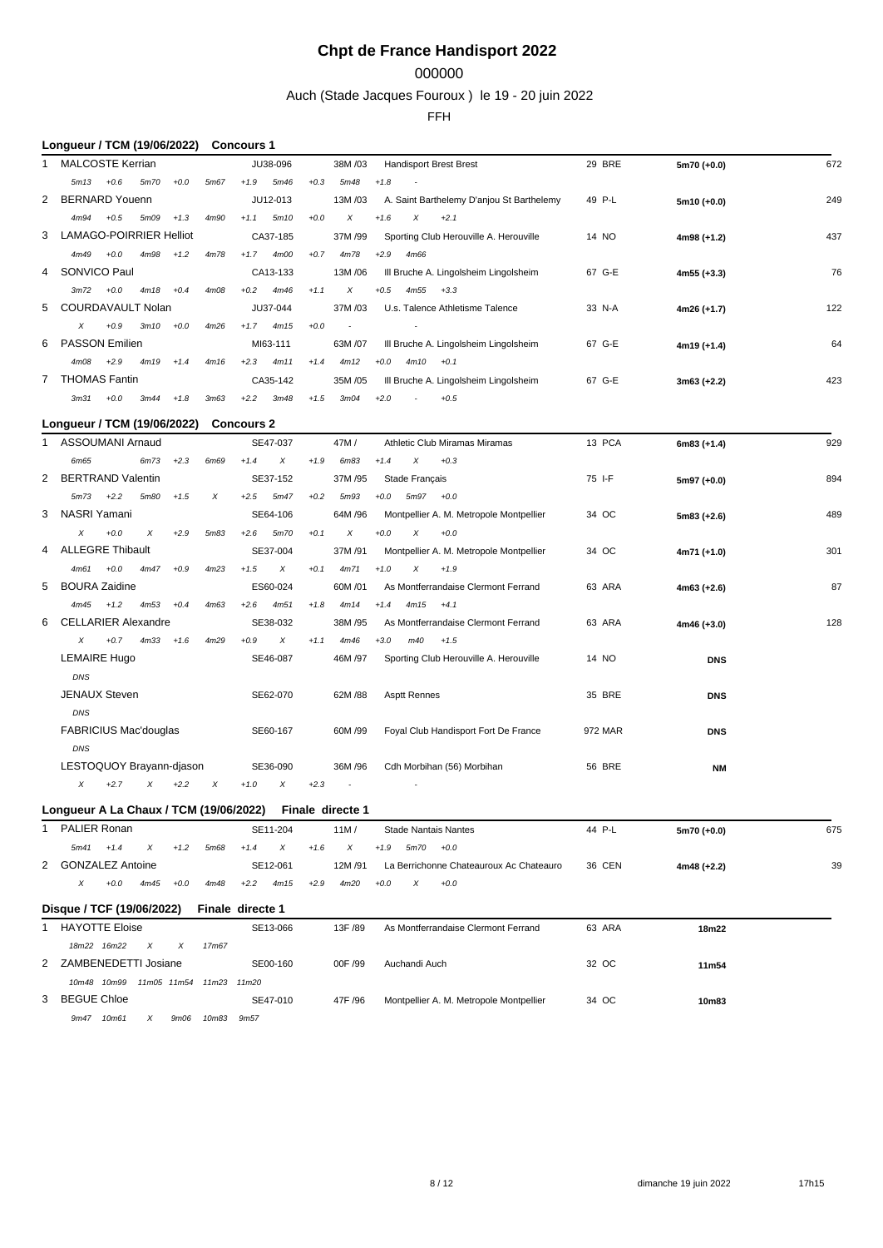### 000000

Auch (Stade Jacques Fouroux ) le 19 - 20 juin 2022

#### FFH

### **Longueur / TCM (19/06/2022) Concours 1**

|   | <b>MALCOSTE Kerrian</b>   |        |      |        |      |        | JU38-096 |        | 38M/03  |                                     | <b>Handisport Brest Brest</b>             | 29 BRE | $5m70 (+0.0)$ | 672 |
|---|---------------------------|--------|------|--------|------|--------|----------|--------|---------|-------------------------------------|-------------------------------------------|--------|---------------|-----|
|   | 5m13                      | $+0.6$ | 5m70 | $+0.0$ | 5m67 | $+1.9$ | 5m46     | $+0.3$ | 5m48    | $+1.8$<br>$\overline{\phantom{a}}$  |                                           |        |               |     |
|   | 2 BERNARD Youenn          |        |      |        |      |        | JU12-013 |        | 13M/03  |                                     | A. Saint Barthelemy D'anjou St Barthelemy | 49 P-L | $5m10 (+0.0)$ | 249 |
|   | 4m94                      | $+0.5$ | 5m09 | $+1.3$ | 4m90 | $+1.1$ | 5m10     | $+0.0$ | X       | $+1.6$<br>$\boldsymbol{\mathsf{X}}$ | $+2.1$                                    |        |               |     |
|   | 3 LAMAGO-POIRRIER Helliot |        |      |        |      |        | CA37-185 |        | 37M/99  |                                     | Sporting Club Herouville A. Herouville    | 14 NO  | $4m98 (+1.2)$ | 437 |
|   | 4m49                      | $+0.0$ | 4m98 | $+1.2$ | 4m78 | $+1.7$ | 4m00     | $+0.7$ | 4m78    | $+2.9$<br>4m66                      |                                           |        |               |     |
|   | 4 SONVICO Paul            |        |      |        |      |        | CA13-133 |        | 13M/06  |                                     | III Bruche A. Lingolsheim Lingolsheim     | 67 G-E | $4m55 (+3.3)$ | 76  |
|   | 3m72                      | $+0.0$ | 4m18 | $+0.4$ | 4m08 | $+0.2$ | 4m46     | $+1.1$ | X       | $+0.5$<br>4m55                      | $+3.3$                                    |        |               |     |
|   | 5 COURDAVAULT Nolan       |        |      |        |      |        | JU37-044 |        | 37M/03  |                                     | U.s. Talence Athletisme Talence           | 33 N-A | $4m26 (+1.7)$ | 122 |
|   | X                         | $+0.9$ | 3m10 | $+0.0$ | 4m26 | $+1.7$ | 4m15     | $+0.0$ | $\sim$  | $\overline{\phantom{a}}$            |                                           |        |               |     |
|   | 6 PASSON Emilien          |        |      |        |      |        | MI63-111 |        | 63M /07 |                                     | III Bruche A. Lingolsheim Lingolsheim     | 67 G-E | $4m19 (+1.4)$ | 64  |
|   | 4m08                      | $+2.9$ | 4m19 | $+1.4$ | 4m16 | $+2.3$ | 4m11     | $+1.4$ | 4m12    | $+0.0$<br>4m10                      | $+0.1$                                    |        |               |     |
| 7 | <b>THOMAS Fantin</b>      |        |      |        |      |        | CA35-142 |        | 35M/05  |                                     | III Bruche A. Lingolsheim Lingolsheim     | 67 G-E | $3m63 (+2.2)$ | 423 |
|   | 3m31                      | $+0.0$ | 3m44 | $+1.8$ | 3m63 | $+2.2$ | 3m48     | $+1.5$ | 3m04    | $+2.0$<br>٠                         | $+0.5$                                    |        |               |     |

### **Longueur / TCM (19/06/2022) Concours 2**

| 1              | ASSOUMANI Arnaud             |        |      |        |      |        | SE47-037 |        | 47M/             |        |                          | Athletic Club Miramas Miramas           | 13 PCA        | $6m83 (+1.4)$ | 929 |
|----------------|------------------------------|--------|------|--------|------|--------|----------|--------|------------------|--------|--------------------------|-----------------------------------------|---------------|---------------|-----|
|                | 6m65                         |        | 6m73 | $+2.3$ | 6m69 | $+1.4$ | X        | $+1.9$ | 6m <sub>83</sub> | $+1.4$ | X                        | $+0.3$                                  |               |               |     |
| $\overline{2}$ | <b>BERTRAND Valentin</b>     |        |      |        |      |        | SE37-152 |        | 37M /95          |        | Stade Français           |                                         | 75 I-F        | $5m97 (+0.0)$ | 894 |
|                | 5m73                         | $+2.2$ | 5m80 | $+1.5$ | X    | $+2.5$ | 5m47     | $+0.2$ | 5m93             | $+0.0$ | 5m97                     | $+0.0$                                  |               |               |     |
|                | 3 NASRI Yamani               |        |      |        |      |        | SE64-106 |        | 64M /96          |        |                          | Montpellier A. M. Metropole Montpellier | 34 OC         | $5m83 (+2.6)$ | 489 |
|                | $\chi$                       | $+0.0$ | Χ    | $+2.9$ | 5m83 | $+2.6$ | 5m70     | $+0.1$ | X                | $+0.0$ | X                        | $+0.0$                                  |               |               |     |
| 4              | <b>ALLEGRE Thibault</b>      |        |      |        |      |        | SE37-004 |        | 37M/91           |        |                          | Montpellier A. M. Metropole Montpellier | 34 OC         | $4m71 (+1.0)$ | 301 |
|                | 4m61                         | $+0.0$ | 4m47 | $+0.9$ | 4m23 | $+1.5$ | X        | $+0.1$ | 4m71             | $+1.0$ | X                        | $+1.9$                                  |               |               |     |
| 5              | <b>BOURA Zaidine</b>         |        |      |        |      |        | ES60-024 |        | 60M/01           |        |                          | As Montferrandaise Clermont Ferrand     | 63 ARA        | $4m63 (+2.6)$ | 87  |
|                | 4m45                         | $+1.2$ | 4m53 | $+0.4$ | 4m63 | $+2.6$ | 4m51     | $+1.8$ | 4m14             | $+1.4$ | 4m15                     | $+4.1$                                  |               |               |     |
| 6              | <b>CELLARIER Alexandre</b>   |        |      |        |      |        | SE38-032 |        | 38M /95          |        |                          | As Montferrandaise Clermont Ferrand     | 63 ARA        | $4m46 (+3.0)$ | 128 |
|                | $\chi$                       | $+0.7$ | 4m33 | $+1.6$ | 4m29 | $+0.9$ | X        | $+1.1$ | 4m46             | $+3.0$ | m40                      | $+1.5$                                  |               |               |     |
|                | <b>LEMAIRE Hugo</b>          |        |      |        |      |        | SE46-087 |        | 46M /97          |        |                          | Sporting Club Herouville A. Herouville  | 14 NO         | <b>DNS</b>    |     |
|                | DNS                          |        |      |        |      |        |          |        |                  |        |                          |                                         |               |               |     |
|                | <b>JENAUX Steven</b>         |        |      |        |      |        | SE62-070 |        | 62M / 88         |        | <b>Asptt Rennes</b>      |                                         | 35 BRE        | <b>DNS</b>    |     |
|                | DNS                          |        |      |        |      |        |          |        |                  |        |                          |                                         |               |               |     |
|                | <b>FABRICIUS Mac'douglas</b> |        |      |        |      |        | SE60-167 |        | 60M /99          |        |                          | Foyal Club Handisport Fort De France    | 972 MAR       | <b>DNS</b>    |     |
|                | DNS                          |        |      |        |      |        |          |        |                  |        |                          |                                         |               |               |     |
|                | LESTOQUOY Brayann-djason     |        |      |        |      |        | SE36-090 |        | 36M/96           |        |                          | Cdh Morbihan (56) Morbihan              | <b>56 BRE</b> | <b>NM</b>     |     |
|                | X                            | $+2.7$ | X    | $+2.2$ | X    | $+1.0$ | X        | $+2.3$ | $\sim$           |        | $\overline{\phantom{a}}$ |                                         |               |               |     |

### **Longueur A La Chaux / TCM (19/06/2022) Finale directe 1**

| PALIER Ronan       |        |      |        |      |        | SE11-204 |        | 11M/   | <b>Stade Nantais Nantes</b>             | 44 P-L | $5m70 (+0.0)$ | 675 |
|--------------------|--------|------|--------|------|--------|----------|--------|--------|-----------------------------------------|--------|---------------|-----|
| 5m41               | $+1.4$ |      | $+1.2$ | 5m68 | $+1.4$ |          |        |        | 5m70<br>$+1.9$<br>$+0.0$                |        |               |     |
| 2 GONZALEZ Antoine |        |      |        |      |        | SE12-061 |        | 12M/91 | La Berrichonne Chateauroux Ac Chateauro | 36 CEN | $4m48 (+2.2)$ | 39  |
|                    | $+0.0$ | 4m45 | $+0.0$ | 4m48 | $+2.2$ | 4m15     | $+2.9$ | 4m20   | $+0.0$<br>$+0.0$                        |        |               |     |

### **Disque / TCF (19/06/2022) Finale directe 1**

| <b>PROGRAMMENT (19/09/2022)</b> | $1.111110.$ $0.11$ $0.010$ $1.$         |         |                                         |        |       |  |
|---------------------------------|-----------------------------------------|---------|-----------------------------------------|--------|-------|--|
| <b>HAYOTTE Eloise</b>           | SE13-066                                | 13F /89 | As Montferrandaise Clermont Ferrand     | 63 ARA | 18m22 |  |
| 18m22 16m22<br>$\times$<br>X    | 17m67                                   |         |                                         |        |       |  |
| 2 ZAMBENEDETTI Josiane          | SE00-160                                | 00F /99 | Auchandi Auch                           | 32 OC  | 11m54 |  |
| 11m05 11m54<br>10m48 10m99      | 11 <sub>m2.3</sub><br>11 <sub>m20</sub> |         |                                         |        |       |  |
| 3 BEGUE Chloe                   | SE47-010                                | 47F /96 | Montpellier A. M. Metropole Montpellier | 34 OC  | 10m83 |  |
| 9m47<br>10m61<br>x<br>9m06      | 10m <sub>83</sub><br>9m57               |         |                                         |        |       |  |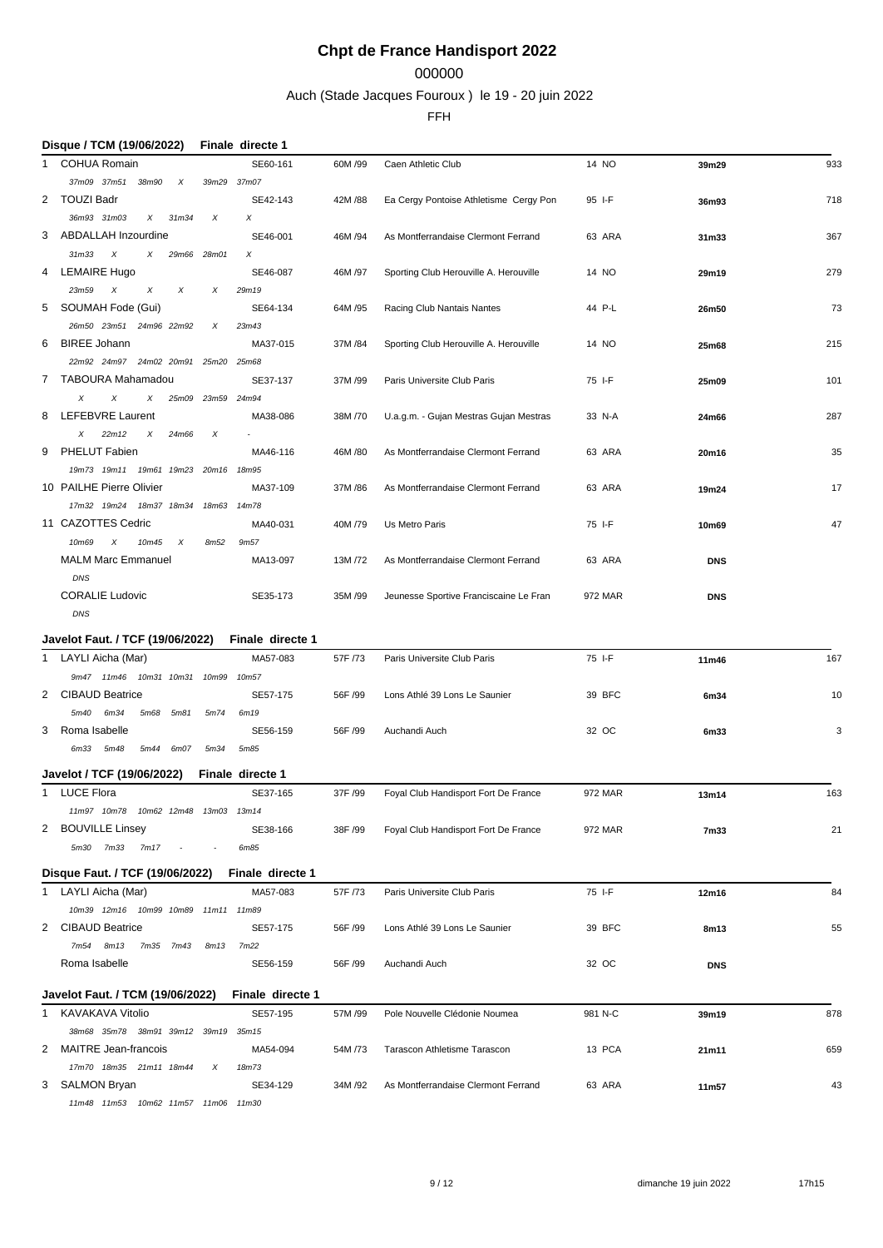### 000000

Auch (Stade Jacques Fouroux ) le 19 - 20 juin 2022

FFH

|              | Disque / TCM (19/06/2022)                                                |                          | Finale directe 1  |          |                                        |         |            |     |
|--------------|--------------------------------------------------------------------------|--------------------------|-------------------|----------|----------------------------------------|---------|------------|-----|
| 1            | <b>COHUA Romain</b>                                                      |                          | SE60-161          | 60M/99   | Caen Athletic Club                     | 14 NO   | 39m29      | 933 |
|              | 37m09 37m51 38m90<br>$\boldsymbol{\mathsf{X}}$                           |                          | 39m29 37m07       |          |                                        |         |            |     |
| 2            | <b>TOUZI Badr</b>                                                        |                          | SE42-143          | 42M / 88 | Ea Cergy Pontoise Athletisme Cergy Pon | 95 I-F  | 36m93      | 718 |
|              | 36m93 31m03<br>$\chi$<br>31m34                                           | X                        | X                 |          |                                        |         |            |     |
| 3            | ABDALLAH Inzourdine                                                      |                          | SE46-001          | 46M /94  | As Montferrandaise Clermont Ferrand    | 63 ARA  | 31m33      | 367 |
|              | $31m33$ $X$<br>X                                                         | 29m66 28m01              | X                 |          |                                        |         |            |     |
| 4            | <b>LEMAIRE Hugo</b>                                                      |                          | SE46-087          | 46M /97  | Sporting Club Herouville A. Herouville | 14 NO   | 29m19      | 279 |
|              | 23m59 X<br>X<br>X                                                        | X                        | 29m19             |          |                                        |         |            |     |
| 5            | SOUMAH Fode (Gui)                                                        |                          | SE64-134          | 64M /95  | Racing Club Nantais Nantes             | 44 P-L  | 26m50      | 73  |
|              | 26m50 23m51 24m96 22m92                                                  | Х                        | 23m43             |          |                                        |         |            |     |
| 6            | <b>BIREE Johann</b>                                                      |                          | MA37-015          | 37M / 84 | Sporting Club Herouville A. Herouville | 14 NO   | 25m68      | 215 |
|              | 22m92 24m97 24m02 20m91 25m20 25m68                                      |                          |                   |          |                                        |         |            |     |
| 7            | TABOURA Mahamadou                                                        |                          | SE37-137          | 37M/99   | Paris Universite Club Paris            | 75 I-F  | 25m09      | 101 |
|              | X<br>X<br>Χ                                                              | 25m09 23m59 24m94        |                   |          |                                        |         |            |     |
| 8            | <b>LEFEBVRE Laurent</b>                                                  |                          | MA38-086          | 38M/70   | U.a.g.m. - Gujan Mestras Gujan Mestras | 33 N-A  | 24m66      | 287 |
|              | 22m12<br>Χ<br>X<br>24m66                                                 | $\times$                 |                   |          |                                        |         |            |     |
| 9            | <b>PHELUT Fabien</b>                                                     |                          | MA46-116          | 46M /80  | As Montferrandaise Clermont Ferrand    | 63 ARA  | 20m16      | 35  |
|              | 19m73 19m11<br>19m61 19m23 20m16                                         |                          | 18m95             |          |                                        |         |            |     |
|              | 10 PAILHE Pierre Olivier                                                 |                          | MA37-109          | 37M /86  | As Montferrandaise Clermont Ferrand    | 63 ARA  | 19m24      | 17  |
|              | 17m32 19m24<br>18m37 18m34                                               | 18m63 14m78              |                   |          |                                        |         |            |     |
|              | 11 CAZOTTES Cedric                                                       |                          | MA40-031          | 40M /79  | Us Metro Paris                         | 75 I-F  | 10m69      | 47  |
|              | 10m69<br>$\boldsymbol{\mathsf{x}}$<br>10m45<br>$\boldsymbol{\mathsf{x}}$ | 8m <sub>52</sub>         | 9m <sub>57</sub>  |          |                                        |         |            |     |
|              | <b>MALM Marc Emmanuel</b>                                                |                          | MA13-097          | 13M/72   | As Montferrandaise Clermont Ferrand    | 63 ARA  | <b>DNS</b> |     |
|              | DNS                                                                      |                          |                   |          |                                        |         |            |     |
|              | <b>CORALIE Ludovic</b>                                                   |                          | SE35-173          | 35M /99  | Jeunesse Sportive Franciscaine Le Fran | 972 MAR | <b>DNS</b> |     |
|              | DNS                                                                      |                          |                   |          |                                        |         |            |     |
|              |                                                                          |                          |                   |          |                                        |         |            |     |
|              |                                                                          |                          |                   |          |                                        |         |            |     |
|              | Javelot Faut. / TCF (19/06/2022)                                         |                          | Finale directe 1  |          |                                        |         |            |     |
| 1            | LAYLI Aicha (Mar)                                                        |                          | MA57-083          | 57F /73  | Paris Universite Club Paris            | 75 I-F  | 11m46      | 167 |
|              | 9m47 11m46 10m31 10m31                                                   | 10m99                    | 10m57             |          |                                        |         |            |     |
| 2            | <b>CIBAUD Beatrice</b>                                                   |                          | SE57-175          | 56F /99  | Lons Athlé 39 Lons Le Saunier          | 39 BFC  | 6m34       | 10  |
|              | 5m40<br>6m34<br>5m68<br>5m81                                             | 5m74                     | 6m19              |          |                                        |         |            |     |
| 3            | Roma Isabelle                                                            |                          | SE56-159          | 56F /99  | Auchandi Auch                          | 32 OC   | 6m33       | 3   |
|              | 6m33 5m48<br>5m44 6m07                                                   | 5m34                     | 5m85              |          |                                        |         |            |     |
|              | Javelot / TCF (19/06/2022)                                               |                          | Finale directe 1  |          |                                        |         |            |     |
|              | 1 LUCE Flora                                                             |                          | SE37-165          | 37F /99  | Foyal Club Handisport Fort De France   | 972 MAR | 13m14      | 163 |
|              | 11m97 10m78 10m62 12m48 13m03 13m14                                      |                          |                   |          |                                        |         |            |     |
|              | 2 BOUVILLE Linsey                                                        |                          | SE38-166          | 38F /99  | Foyal Club Handisport Fort De France   | 972 MAR | 7m33       | 21  |
|              | 5m30 7m33<br>7m17                                                        | $\overline{\phantom{a}}$ | 6m85              |          |                                        |         |            |     |
|              |                                                                          |                          |                   |          |                                        |         |            |     |
|              | Disque Faut. / TCF (19/06/2022)                                          |                          | Finale directe 1  |          |                                        |         |            |     |
|              | 1 LAYLI Aicha (Mar)                                                      |                          | MA57-083          | 57F /73  | Paris Universite Club Paris            | 75 I-F  | 12m16      | 84  |
|              | 10m39 12m16 10m99 10m89 11m11 11m89                                      |                          |                   |          |                                        |         |            |     |
|              | 2 CIBAUD Beatrice                                                        |                          | SE57-175          | 56F /99  | Lons Athlé 39 Lons Le Saunier          | 39 BFC  | 8m13       | 55  |
|              | 7m <sub>54</sub><br>8m13<br>7m35 7m43                                    | 8m13                     | 7m <sub>22</sub>  |          |                                        |         |            |     |
|              | Roma Isabelle                                                            |                          | SE56-159          | 56F /99  | Auchandi Auch                          | 32 OC   | <b>DNS</b> |     |
|              |                                                                          |                          |                   |          |                                        |         |            |     |
| 1            | Javelot Faut. / TCM (19/06/2022)<br>KAVAKAVA Vitolio                     |                          | Finale directe 1  |          |                                        |         |            |     |
|              |                                                                          |                          | SE57-195          | 57M/99   | Pole Nouvelle Clédonie Noumea          | 981 N-C | 39m19      | 878 |
|              | 38m68 35m78 38m91 39m12 39m19 35m15                                      |                          |                   |          |                                        |         |            |     |
| $\mathbf{2}$ | MAITRE Jean-francois                                                     |                          | MA54-094          | 54M /73  | Tarascon Athletisme Tarascon           | 13 PCA  | 21m11      | 659 |
|              | 17m70 18m35 21m11 18m44<br>3 SALMON Bryan                                | X                        | 18m73<br>SE34-129 | 34M/92   | As Montferrandaise Clermont Ferrand    | 63 ARA  | 11m57      | 43  |

*11m48 11m53 10m62 11m57 11m06 11m30*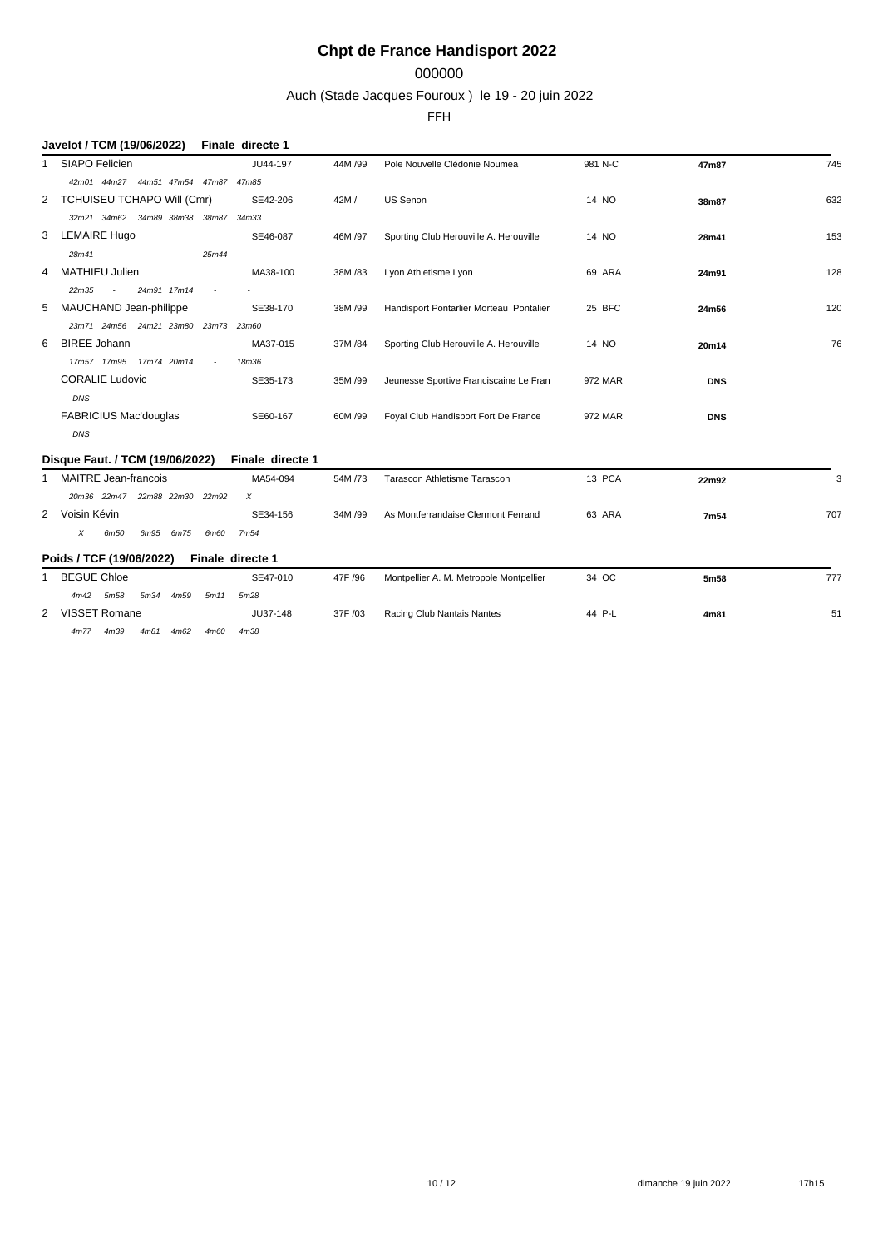## 000000

Auch (Stade Jacques Fouroux ) le 19 - 20 juin 2022

FFH

|   | Javelot / TCM (19/06/2022)                  |                          | Finale directe 1 |         |                                         |         |            |     |
|---|---------------------------------------------|--------------------------|------------------|---------|-----------------------------------------|---------|------------|-----|
| 1 | SIAPO Felicien                              |                          | JU44-197         | 44M /99 | Pole Nouvelle Clédonie Noumea           | 981 N-C | 47m87      | 745 |
|   | 42m01 44m27 44m51 47m54 47m87 47m85         |                          |                  |         |                                         |         |            |     |
|   | 2 TCHUISEU TCHAPO Will (Cmr)                |                          | SE42-206         | 42M/    | US Senon                                | 14 NO   | 38m87      | 632 |
|   | 32m21 34m62<br>34m89 38m38 38m87            |                          | 34m33            |         |                                         |         |            |     |
| 3 | <b>LEMAIRE Hugo</b>                         |                          | SE46-087         | 46M /97 | Sporting Club Herouville A. Herouville  | 14 NO   | 28m41      | 153 |
|   | 28m41<br>$\sim$<br>$\overline{\phantom{a}}$ | 25m44                    |                  |         |                                         |         |            |     |
| 4 | <b>MATHIEU Julien</b>                       |                          | MA38-100         | 38M/83  | Lyon Athletisme Lyon                    | 69 ARA  | 24m91      | 128 |
|   | 24m91 17m14<br>22m35                        | $\overline{\phantom{a}}$ |                  |         |                                         |         |            |     |
| 5 | MAUCHAND Jean-philippe                      |                          | SE38-170         | 38M/99  | Handisport Pontarlier Morteau Pontalier | 25 BFC  | 24m56      | 120 |
|   | 23m71 24m56 24m21 23m80 23m73 23m60         |                          |                  |         |                                         |         |            |     |
| 6 | <b>BIREE Johann</b>                         |                          | MA37-015         | 37M/84  | Sporting Club Herouville A. Herouville  | 14 NO   | 20m14      | 76  |
|   | 17m57 17m95<br>17m74 20m14                  | $\overline{\phantom{a}}$ | 18m36            |         |                                         |         |            |     |
|   | <b>CORALIE Ludovic</b>                      |                          | SE35-173         | 35M/99  | Jeunesse Sportive Franciscaine Le Fran  | 972 MAR | <b>DNS</b> |     |
|   | DNS                                         |                          |                  |         |                                         |         |            |     |
|   | <b>FABRICIUS Mac'douglas</b>                |                          | SE60-167         | 60M /99 | Foyal Club Handisport Fort De France    | 972 MAR | <b>DNS</b> |     |
|   | DNS                                         |                          |                  |         |                                         |         |            |     |
|   | Disque Faut. / TCM (19/06/2022)             |                          | Finale directe 1 |         |                                         |         |            |     |
| 1 | <b>MAITRE Jean-francois</b>                 |                          | MA54-094         | 54M/73  | Tarascon Athletisme Tarascon            | 13 PCA  | 22m92      | 3   |
|   | 20m36 22m47 22m88 22m30 22m92               |                          | X                |         |                                         |         |            |     |
|   | 2 Voisin Kévin                              |                          | SE34-156         | 34M /99 | As Montferrandaise Clermont Ferrand     | 63 ARA  | 7m54       | 707 |
|   | X<br>6m50<br>6m95<br>6m75                   | 6m60                     | 7m <sub>54</sub> |         |                                         |         |            |     |
|   | Poids / TCF (19/06/2022)                    | Finale directe 1         |                  |         |                                         |         |            |     |
| 1 | <b>BEGUE Chloe</b>                          |                          | SE47-010         | 47F /96 | Montpellier A. M. Metropole Montpellier | 34 OC   | 5m58       | 777 |
|   | 4m59<br>5m34<br>4m42<br>5m58                | 5m11                     | 5m28             |         |                                         |         |            |     |
|   | 2 VISSET Romane                             |                          | JU37-148         | 37F /03 | Racing Club Nantais Nantes              | 44 P-L  | 4m81       | 51  |
|   |                                             |                          |                  |         |                                         |         |            |     |

*4m77 4m39 4m81 4m62 4m60 4m38*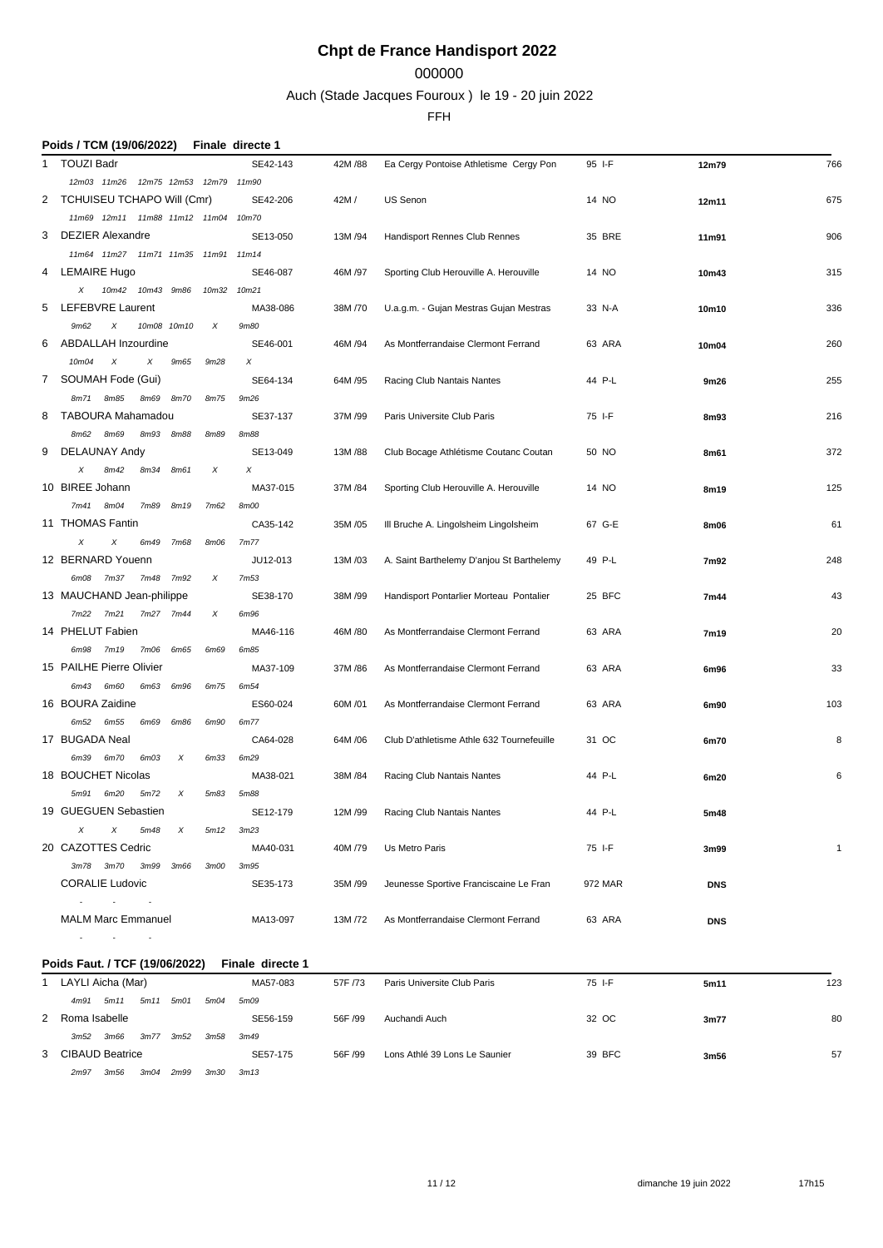### 000000

Auch (Stade Jacques Fouroux ) le 19 - 20 juin 2022

|   | Poids / TCM (19/06/2022)                        |       | Finale directe 1 |          |                                           |         |            |              |
|---|-------------------------------------------------|-------|------------------|----------|-------------------------------------------|---------|------------|--------------|
| 1 | <b>TOUZI Badr</b>                               |       | SE42-143         | 42M / 88 | Ea Cergy Pontoise Athletisme Cergy Pon    | 95 I-F  | 12m79      | 766          |
|   | 12m03 11m26<br>12m75 12m53 12m79 11m90          |       |                  |          |                                           |         |            |              |
| 2 | TCHUISEU TCHAPO Will (Cmr)                      |       | SE42-206         | 42M/     | US Senon                                  | 14 NO   | 12m11      | 675          |
|   | 11m69 12m11 11m88 11m12 11m04 10m70             |       |                  |          |                                           |         |            |              |
| 3 | <b>DEZIER Alexandre</b>                         |       | SE13-050         | 13M /94  | Handisport Rennes Club Rennes             | 35 BRE  | 11m91      | 906          |
|   | 11m64 11m27 11m71 11m35 11m91 11m14             |       |                  |          |                                           |         |            |              |
| 4 | <b>LEMAIRE Hugo</b>                             |       | SE46-087         | 46M /97  | Sporting Club Herouville A. Herouville    | 14 NO   | 10m43      | 315          |
|   | 10m42<br>10m43 9m86<br>X                        | 10m32 | 10m21            |          |                                           |         |            |              |
| 5 | <b>LEFEBVRE Laurent</b>                         |       | MA38-086         | 38M/70   | U.a.g.m. - Gujan Mestras Gujan Mestras    | 33 N-A  | 10m10      | 336          |
|   | 9m62<br>Χ<br>10m08 10m10                        | Χ     | 9m80             |          |                                           |         |            |              |
| 6 | <b>ABDALLAH Inzourdine</b>                      |       | SE46-001         | 46M /94  | As Montferrandaise Clermont Ferrand       | 63 ARA  | 10m04      | 260          |
|   | 10m04<br>$\boldsymbol{\mathsf{X}}$<br>X<br>9m65 | 9m28  | Х                |          |                                           |         |            |              |
| 7 | SOUMAH Fode (Gui)                               |       | SE64-134         | 64M /95  | Racing Club Nantais Nantes                | 44 P-L  | 9m26       | 255          |
|   | 8m71<br>8m85<br>8m69<br>8m70                    | 8m75  | 9m26             |          |                                           |         |            |              |
| 8 | TABOURA Mahamadou                               |       | SE37-137         | 37M/99   | Paris Universite Club Paris               | 75 I-F  | 8m93       | 216          |
|   | 8m69<br>8m62<br>8m93<br>8m88                    | 8m89  | 8m88             |          |                                           |         |            |              |
| 9 | DELAUNAY Andy                                   |       | SE13-049         | 13M/88   | Club Bocage Athlétisme Coutanc Coutan     | 50 NO   | 8m61       | 372          |
|   | Χ<br>8m42<br>8m34<br>8m61                       | X     | X                |          |                                           |         |            |              |
|   | 10 BIREE Johann                                 |       | MA37-015         | 37M /84  | Sporting Club Herouville A. Herouville    | 14 NO   | 8m19       | 125          |
|   | 8m04<br>7m89<br>8m19<br>7m41                    | 7m62  | <b>8m00</b>      |          |                                           |         |            |              |
|   | 11 THOMAS Fantin                                |       | CA35-142         | 35M /05  | III Bruche A. Lingolsheim Lingolsheim     | 67 G-E  | 8m06       | 61           |
|   | X<br>X<br>6m49<br>7m68                          | 8m06  | 7m77             |          |                                           |         |            |              |
|   | 12 BERNARD Youenn                               |       | JU12-013         | 13M/03   | A. Saint Barthelemy D'anjou St Barthelemy | 49 P-L  | 7m92       | 248          |
|   | 6m08<br>7m37<br>7m48<br>7m92                    | Χ     | 7m53             |          |                                           |         |            |              |
|   | 13 MAUCHAND Jean-philippe                       |       | SE38-170         | 38M/99   | Handisport Pontarlier Morteau Pontalier   | 25 BFC  | 7m44       | 43           |
|   | 7m22<br>7m21<br>7m27 7m44                       | X     | 6m96             |          |                                           |         |            |              |
|   | 14 PHELUT Fabien                                |       | MA46-116         | 46M /80  | As Montferrandaise Clermont Ferrand       | 63 ARA  | 7m19       | 20           |
|   | 6m98<br>7m19<br>7m06<br>6m65                    | 6m69  | 6m85             |          |                                           |         |            |              |
|   | 15 PAILHE Pierre Olivier                        |       | MA37-109         | 37M / 86 | As Montferrandaise Clermont Ferrand       | 63 ARA  | 6m96       | 33           |
|   | 6m43<br>6m60<br>6m63<br>6m96                    | 6m75  | 6m54             |          |                                           |         |            |              |
|   | 16 BOURA Zaidine                                |       | ES60-024         | 60M/01   | As Montferrandaise Clermont Ferrand       | 63 ARA  | 6m90       | 103          |
|   | 6m52<br>6m55<br>6m69<br>6m86                    | 6m90  | 6m77             | 64M / 06 |                                           |         |            | 8            |
|   | 17 BUGADA Neal<br>6m39<br>$\times$              |       | CA64-028         |          | Club D'athletisme Athle 632 Tournefeuille | 31 OC   | 6m70       |              |
|   | 6m70<br>6m03<br>18 BOUCHET Nicolas              | 6m33  | 6m29<br>MA38-021 | 38M / 84 | Racing Club Nantais Nantes                | 44 P-L  |            | 6            |
|   | 5m91<br>6m20<br>5m72<br>X                       | 5m83  | 5m88             |          |                                           |         | 6m20       |              |
|   | 19 GUEGUEN Sebastien                            |       | SE12-179         | 12M/99   | Racing Club Nantais Nantes                | 44 P-L  | 5m48       |              |
|   | X<br>X<br>5m48<br>X                             | 5m12  | 3m23             |          |                                           |         |            |              |
|   | 20 CAZOTTES Cedric                              |       | MA40-031         | 40M /79  | Us Metro Paris                            | 75 I-F  | 3m99       | $\mathbf{1}$ |
|   | 3m78 3m70<br>3m99<br>3m66                       | 3m00  | 3m95             |          |                                           |         |            |              |
|   | <b>CORALIE Ludovic</b>                          |       | SE35-173         | 35M/99   | Jeunesse Sportive Franciscaine Le Fran    | 972 MAR | <b>DNS</b> |              |
|   | <b>Contractor</b><br>$\sim 100$ km s $^{-1}$    |       |                  |          |                                           |         |            |              |
|   | <b>MALM Marc Emmanuel</b>                       |       | MA13-097         | 13M /72  | As Montferrandaise Clermont Ferrand       | 63 ARA  | <b>DNS</b> |              |
|   | $\sim 100$                                      |       |                  |          |                                           |         |            |              |
|   | Poids Faut. / TCF (19/06/2022)                  |       | Finale directe 1 |          |                                           |         |            |              |
|   | 1 LAYLI Aicha (Mar)                             |       | MA57-083         | 57F /73  | Paris Universite Club Paris               | 75 I-F  | 5m11       | 123          |
|   | 4m91 5m11<br>5m11 5m01                          | 5m04  | 5m09             |          |                                           |         |            |              |
|   | 2 Roma Isabelle                                 |       | SE56-159         | 56F /99  | Auchandi Auch                             | 32 OC   | 3m77       | 80           |
|   | 3m52 3m66<br>3m77 3m52                          | 3m58  | 3m49             |          |                                           |         |            |              |
|   | 3 CIBAUD Beatrice                               |       | SE57-175         | 56F /99  | Lons Athlé 39 Lons Le Saunier             | 39 BFC  | 3m56       | 57           |
|   | 2m97 3m56 3m04 2m99                             |       | 3m30 3m13        |          |                                           |         |            |              |